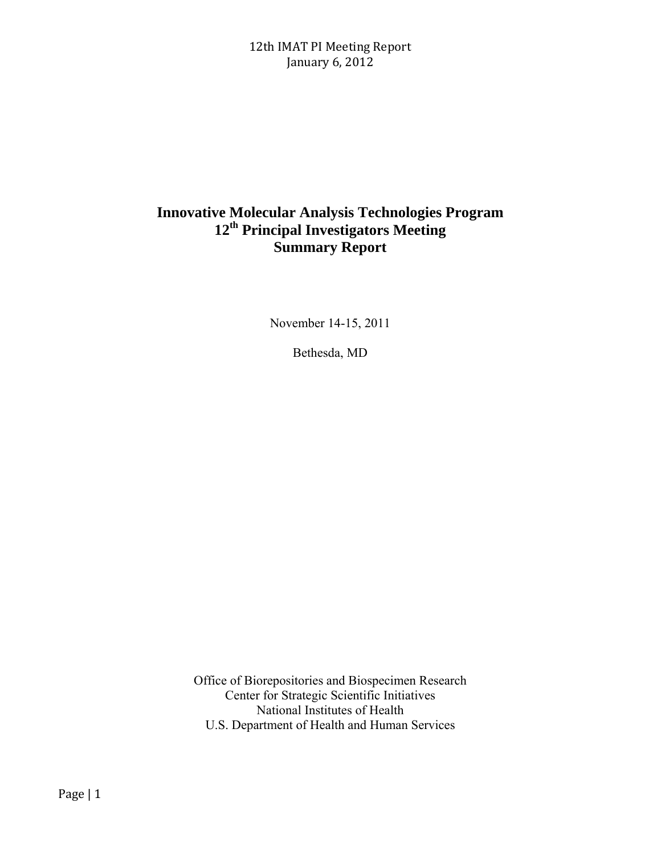# **Innovative Molecular Analysis Technologies Program 12th Principal Investigators Meeting Summary Report**

November 14-15, 2011

Bethesda, MD

Office of Biorepositories and Biospecimen Research Center for Strategic Scientific Initiatives National Institutes of Health U.S. Department of Health and Human Services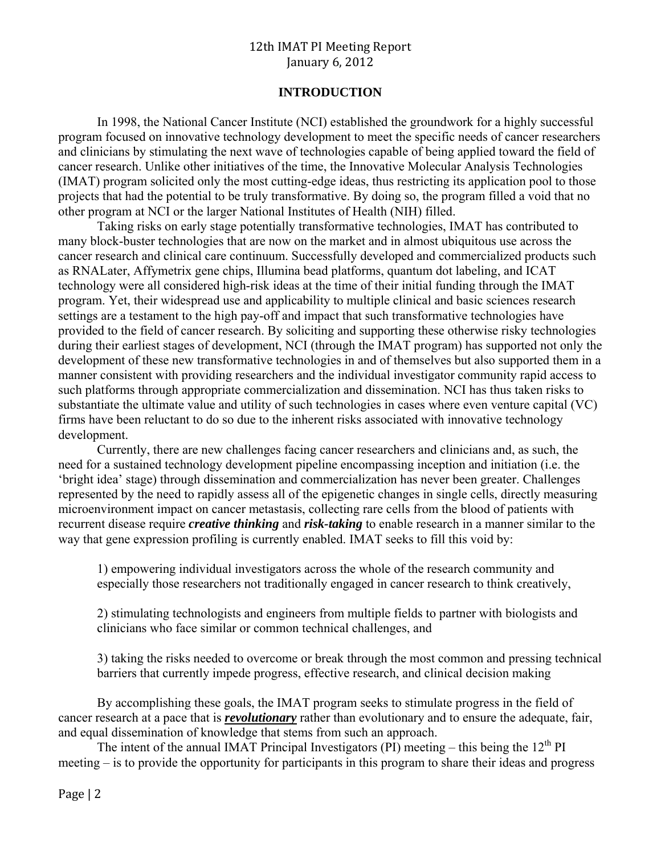## **INTRODUCTION**

In 1998, the National Cancer Institute (NCI) established the groundwork for a highly successful program focused on innovative technology development to meet the specific needs of cancer researchers and clinicians by stimulating the next wave of technologies capable of being applied toward the field of cancer research. Unlike other initiatives of the time, the Innovative Molecular Analysis Technologies (IMAT) program solicited only the most cutting-edge ideas, thus restricting its application pool to those projects that had the potential to be truly transformative. By doing so, the program filled a void that no other program at NCI or the larger National Institutes of Health (NIH) filled.

Taking risks on early stage potentially transformative technologies, IMAT has contributed to many block-buster technologies that are now on the market and in almost ubiquitous use across the cancer research and clinical care continuum. Successfully developed and commercialized products such as RNALater, Affymetrix gene chips, Illumina bead platforms, quantum dot labeling, and ICAT technology were all considered high-risk ideas at the time of their initial funding through the IMAT program. Yet, their widespread use and applicability to multiple clinical and basic sciences research settings are a testament to the high pay-off and impact that such transformative technologies have provided to the field of cancer research. By soliciting and supporting these otherwise risky technologies during their earliest stages of development, NCI (through the IMAT program) has supported not only the development of these new transformative technologies in and of themselves but also supported them in a manner consistent with providing researchers and the individual investigator community rapid access to such platforms through appropriate commercialization and dissemination. NCI has thus taken risks to substantiate the ultimate value and utility of such technologies in cases where even venture capital (VC) firms have been reluctant to do so due to the inherent risks associated with innovative technology development.

Currently, there are new challenges facing cancer researchers and clinicians and, as such, the need for a sustained technology development pipeline encompassing inception and initiation (i.e. the 'bright idea' stage) through dissemination and commercialization has never been greater. Challenges represented by the need to rapidly assess all of the epigenetic changes in single cells, directly measuring microenvironment impact on cancer metastasis, collecting rare cells from the blood of patients with recurrent disease require *creative thinking* and *risk-taking* to enable research in a manner similar to the way that gene expression profiling is currently enabled. IMAT seeks to fill this void by:

1) empowering individual investigators across the whole of the research community and especially those researchers not traditionally engaged in cancer research to think creatively,

2) stimulating technologists and engineers from multiple fields to partner with biologists and clinicians who face similar or common technical challenges, and

3) taking the risks needed to overcome or break through the most common and pressing technical barriers that currently impede progress, effective research, and clinical decision making

By accomplishing these goals, the IMAT program seeks to stimulate progress in the field of cancer research at a pace that is *revolutionary* rather than evolutionary and to ensure the adequate, fair, and equal dissemination of knowledge that stems from such an approach.

The intent of the annual IMAT Principal Investigators (PI) meeting – this being the  $12<sup>th</sup>$  PI meeting – is to provide the opportunity for participants in this program to share their ideas and progress

Page  $|2$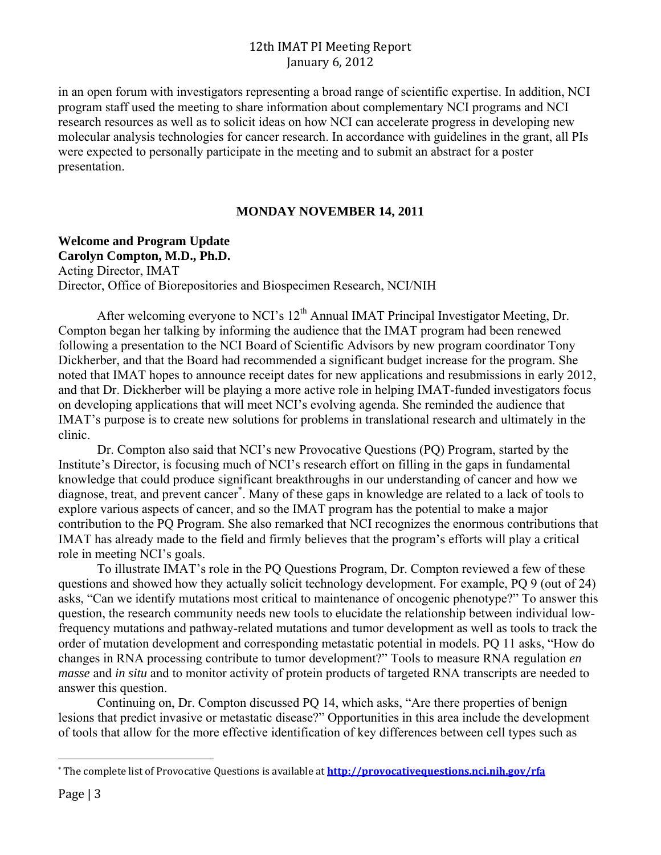in an open forum with investigators representing a broad range of scientific expertise. In addition, NCI program staff used the meeting to share information about complementary NCI programs and NCI research resources as well as to solicit ideas on how NCI can accelerate progress in developing new molecular analysis technologies for cancer research. In accordance with guidelines in the grant, all PIs were expected to personally participate in the meeting and to submit an abstract for a poster presentation.

#### **MONDAY NOVEMBER 14, 2011**

**Welcome and Program Update Carolyn Compton, M.D., Ph.D.**  Acting Director, IMAT Director, Office of Biorepositories and Biospecimen Research, NCI/NIH

After welcoming everyone to NCI's  $12<sup>th</sup>$  Annual IMAT Principal Investigator Meeting, Dr. Compton began her talking by informing the audience that the IMAT program had been renewed following a presentation to the NCI Board of Scientific Advisors by new program coordinator Tony Dickherber, and that the Board had recommended a significant budget increase for the program. She noted that IMAT hopes to announce receipt dates for new applications and resubmissions in early 2012, and that Dr. Dickherber will be playing a more active role in helping IMAT-funded investigators focus on developing applications that will meet NCI's evolving agenda. She reminded the audience that IMAT's purpose is to create new solutions for problems in translational research and ultimately in the clinic.

Dr. Compton also said that NCI's new Provocative Questions (PQ) Program, started by the Institute's Director, is focusing much of NCI's research effort on filling in the gaps in fundamental knowledge that could produce significant breakthroughs in our understanding of cancer and how we diagnose, treat, and prevent cancer<sup>\*</sup>. Many of these gaps in knowledge are related to a lack of tools to explore various aspects of cancer, and so the IMAT program has the potential to make a major contribution to the PQ Program. She also remarked that NCI recognizes the enormous contributions that IMAT has already made to the field and firmly believes that the program's efforts will play a critical role in meeting NCI's goals.

To illustrate IMAT's role in the PQ Questions Program, Dr. Compton reviewed a few of these questions and showed how they actually solicit technology development. For example, PQ 9 (out of 24) asks, "Can we identify mutations most critical to maintenance of oncogenic phenotype?" To answer this question, the research community needs new tools to elucidate the relationship between individual lowfrequency mutations and pathway-related mutations and tumor development as well as tools to track the order of mutation development and corresponding metastatic potential in models. PQ 11 asks, "How do changes in RNA processing contribute to tumor development?" Tools to measure RNA regulation *en masse* and *in situ* and to monitor activity of protein products of targeted RNA transcripts are needed to answer this question.

Continuing on, Dr. Compton discussed PQ 14, which asks, "Are there properties of benign lesions that predict invasive or metastatic disease?" Opportunities in this area include the development of tools that allow for the more effective identification of key differences between cell types such as

 

<sup>\*</sup> The complete list of Provocative Questions is available at **http://provocativequestions.nci.nih.gov/rfa**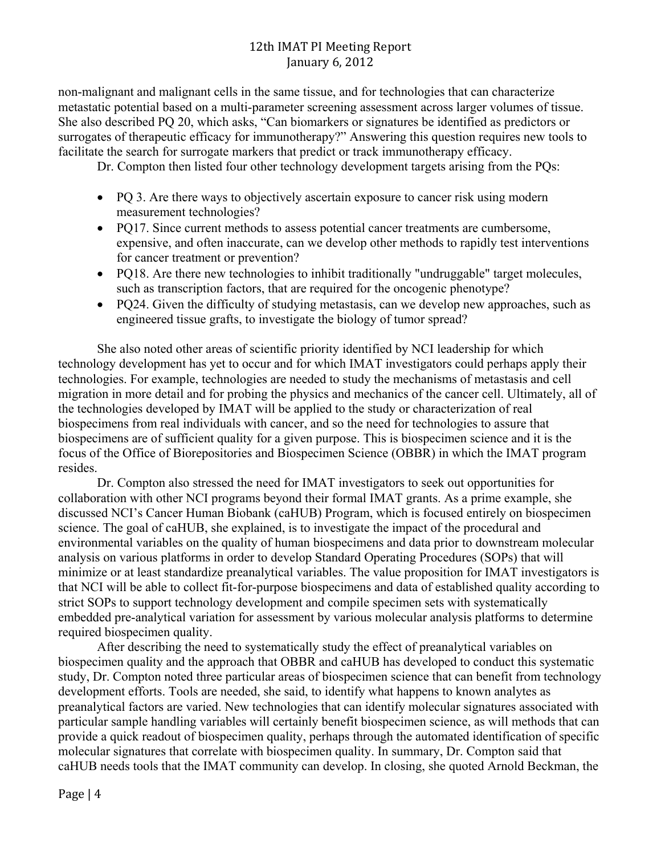non-malignant and malignant cells in the same tissue, and for technologies that can characterize metastatic potential based on a multi-parameter screening assessment across larger volumes of tissue. She also described PQ 20, which asks, "Can biomarkers or signatures be identified as predictors or surrogates of therapeutic efficacy for immunotherapy?" Answering this question requires new tools to facilitate the search for surrogate markers that predict or track immunotherapy efficacy.

Dr. Compton then listed four other technology development targets arising from the PQs:

- PQ 3. Are there ways to objectively ascertain exposure to cancer risk using modern measurement technologies?
- PQ17. Since current methods to assess potential cancer treatments are cumbersome, expensive, and often inaccurate, can we develop other methods to rapidly test interventions for cancer treatment or prevention?
- PO18. Are there new technologies to inhibit traditionally "undruggable" target molecules, such as transcription factors, that are required for the oncogenic phenotype?
- PQ24. Given the difficulty of studying metastasis, can we develop new approaches, such as engineered tissue grafts, to investigate the biology of tumor spread?

She also noted other areas of scientific priority identified by NCI leadership for which technology development has yet to occur and for which IMAT investigators could perhaps apply their technologies. For example, technologies are needed to study the mechanisms of metastasis and cell migration in more detail and for probing the physics and mechanics of the cancer cell. Ultimately, all of the technologies developed by IMAT will be applied to the study or characterization of real biospecimens from real individuals with cancer, and so the need for technologies to assure that biospecimens are of sufficient quality for a given purpose. This is biospecimen science and it is the focus of the Office of Biorepositories and Biospecimen Science (OBBR) in which the IMAT program resides.

Dr. Compton also stressed the need for IMAT investigators to seek out opportunities for collaboration with other NCI programs beyond their formal IMAT grants. As a prime example, she discussed NCI's Cancer Human Biobank (caHUB) Program, which is focused entirely on biospecimen science. The goal of caHUB, she explained, is to investigate the impact of the procedural and environmental variables on the quality of human biospecimens and data prior to downstream molecular analysis on various platforms in order to develop Standard Operating Procedures (SOPs) that will minimize or at least standardize preanalytical variables. The value proposition for IMAT investigators is that NCI will be able to collect fit-for-purpose biospecimens and data of established quality according to strict SOPs to support technology development and compile specimen sets with systematically embedded pre-analytical variation for assessment by various molecular analysis platforms to determine required biospecimen quality.

After describing the need to systematically study the effect of preanalytical variables on biospecimen quality and the approach that OBBR and caHUB has developed to conduct this systematic study, Dr. Compton noted three particular areas of biospecimen science that can benefit from technology development efforts. Tools are needed, she said, to identify what happens to known analytes as preanalytical factors are varied. New technologies that can identify molecular signatures associated with particular sample handling variables will certainly benefit biospecimen science, as will methods that can provide a quick readout of biospecimen quality, perhaps through the automated identification of specific molecular signatures that correlate with biospecimen quality. In summary, Dr. Compton said that caHUB needs tools that the IMAT community can develop. In closing, she quoted Arnold Beckman, the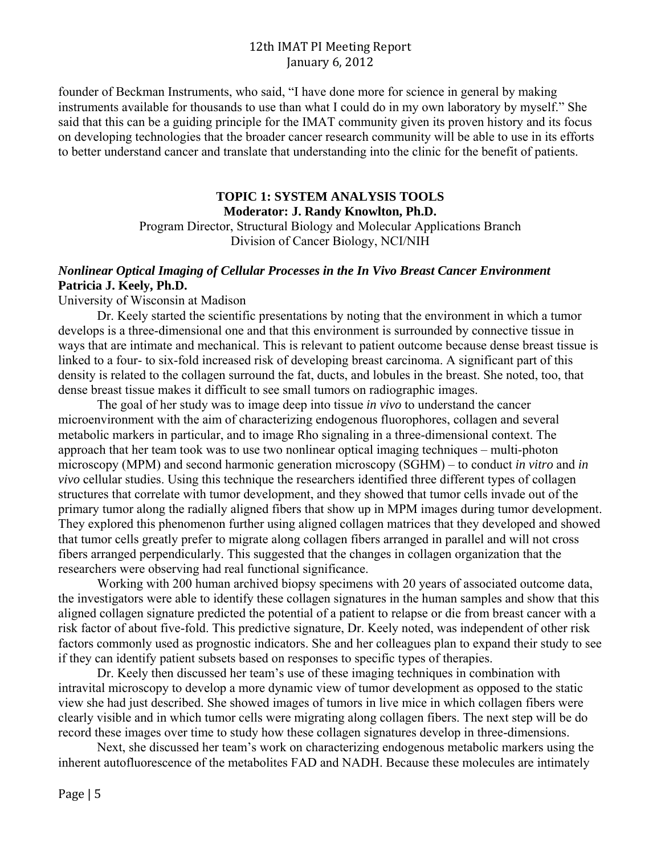founder of Beckman Instruments, who said, "I have done more for science in general by making instruments available for thousands to use than what I could do in my own laboratory by myself." She said that this can be a guiding principle for the IMAT community given its proven history and its focus on developing technologies that the broader cancer research community will be able to use in its efforts to better understand cancer and translate that understanding into the clinic for the benefit of patients.

## **TOPIC 1: SYSTEM ANALYSIS TOOLS Moderator: J. Randy Knowlton, Ph.D.**

Program Director, Structural Biology and Molecular Applications Branch Division of Cancer Biology, NCI/NIH

## *Nonlinear Optical Imaging of Cellular Processes in the In Vivo Breast Cancer Environment*  **Patricia J. Keely, Ph.D.**

#### University of Wisconsin at Madison

Dr. Keely started the scientific presentations by noting that the environment in which a tumor develops is a three-dimensional one and that this environment is surrounded by connective tissue in ways that are intimate and mechanical. This is relevant to patient outcome because dense breast tissue is linked to a four- to six-fold increased risk of developing breast carcinoma. A significant part of this density is related to the collagen surround the fat, ducts, and lobules in the breast. She noted, too, that dense breast tissue makes it difficult to see small tumors on radiographic images.

The goal of her study was to image deep into tissue *in vivo* to understand the cancer microenvironment with the aim of characterizing endogenous fluorophores, collagen and several metabolic markers in particular, and to image Rho signaling in a three-dimensional context. The approach that her team took was to use two nonlinear optical imaging techniques – multi-photon microscopy (MPM) and second harmonic generation microscopy (SGHM) – to conduct *in vitro* and *in vivo* cellular studies. Using this technique the researchers identified three different types of collagen structures that correlate with tumor development, and they showed that tumor cells invade out of the primary tumor along the radially aligned fibers that show up in MPM images during tumor development. They explored this phenomenon further using aligned collagen matrices that they developed and showed that tumor cells greatly prefer to migrate along collagen fibers arranged in parallel and will not cross fibers arranged perpendicularly. This suggested that the changes in collagen organization that the researchers were observing had real functional significance.

Working with 200 human archived biopsy specimens with 20 years of associated outcome data, the investigators were able to identify these collagen signatures in the human samples and show that this aligned collagen signature predicted the potential of a patient to relapse or die from breast cancer with a risk factor of about five-fold. This predictive signature, Dr. Keely noted, was independent of other risk factors commonly used as prognostic indicators. She and her colleagues plan to expand their study to see if they can identify patient subsets based on responses to specific types of therapies.

Dr. Keely then discussed her team's use of these imaging techniques in combination with intravital microscopy to develop a more dynamic view of tumor development as opposed to the static view she had just described. She showed images of tumors in live mice in which collagen fibers were clearly visible and in which tumor cells were migrating along collagen fibers. The next step will be do record these images over time to study how these collagen signatures develop in three-dimensions.

Next, she discussed her team's work on characterizing endogenous metabolic markers using the inherent autofluorescence of the metabolites FAD and NADH. Because these molecules are intimately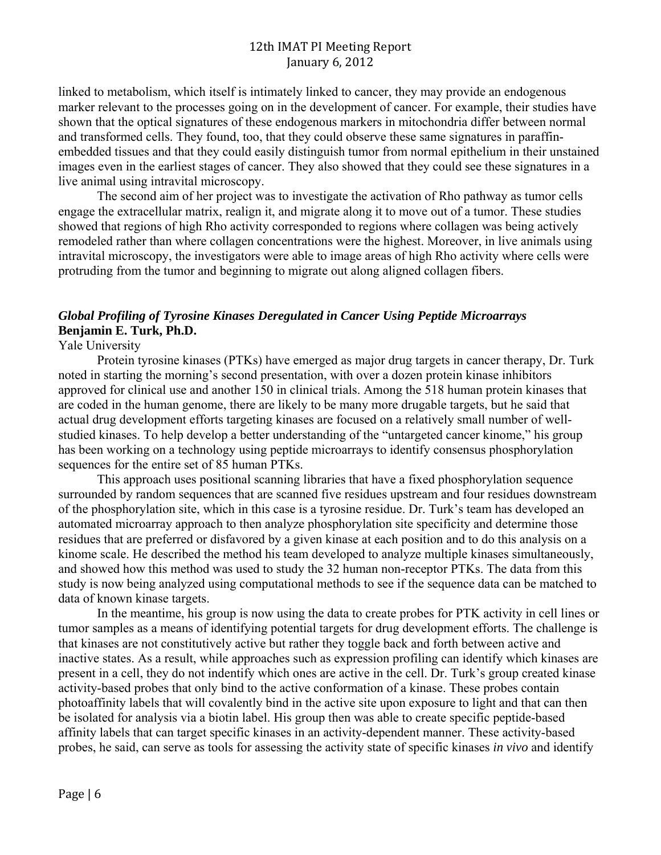linked to metabolism, which itself is intimately linked to cancer, they may provide an endogenous marker relevant to the processes going on in the development of cancer. For example, their studies have shown that the optical signatures of these endogenous markers in mitochondria differ between normal and transformed cells. They found, too, that they could observe these same signatures in paraffinembedded tissues and that they could easily distinguish tumor from normal epithelium in their unstained images even in the earliest stages of cancer. They also showed that they could see these signatures in a live animal using intravital microscopy.

The second aim of her project was to investigate the activation of Rho pathway as tumor cells engage the extracellular matrix, realign it, and migrate along it to move out of a tumor. These studies showed that regions of high Rho activity corresponded to regions where collagen was being actively remodeled rather than where collagen concentrations were the highest. Moreover, in live animals using intravital microscopy, the investigators were able to image areas of high Rho activity where cells were protruding from the tumor and beginning to migrate out along aligned collagen fibers.

# *Global Profiling of Tyrosine Kinases Deregulated in Cancer Using Peptide Microarrays*  **Benjamin E. Turk, Ph.D.**

## Yale University

Protein tyrosine kinases (PTKs) have emerged as major drug targets in cancer therapy, Dr. Turk noted in starting the morning's second presentation, with over a dozen protein kinase inhibitors approved for clinical use and another 150 in clinical trials. Among the 518 human protein kinases that are coded in the human genome, there are likely to be many more drugable targets, but he said that actual drug development efforts targeting kinases are focused on a relatively small number of wellstudied kinases. To help develop a better understanding of the "untargeted cancer kinome," his group has been working on a technology using peptide microarrays to identify consensus phosphorylation sequences for the entire set of 85 human PTKs.

This approach uses positional scanning libraries that have a fixed phosphorylation sequence surrounded by random sequences that are scanned five residues upstream and four residues downstream of the phosphorylation site, which in this case is a tyrosine residue. Dr. Turk's team has developed an automated microarray approach to then analyze phosphorylation site specificity and determine those residues that are preferred or disfavored by a given kinase at each position and to do this analysis on a kinome scale. He described the method his team developed to analyze multiple kinases simultaneously, and showed how this method was used to study the 32 human non-receptor PTKs. The data from this study is now being analyzed using computational methods to see if the sequence data can be matched to data of known kinase targets.

In the meantime, his group is now using the data to create probes for PTK activity in cell lines or tumor samples as a means of identifying potential targets for drug development efforts. The challenge is that kinases are not constitutively active but rather they toggle back and forth between active and inactive states. As a result, while approaches such as expression profiling can identify which kinases are present in a cell, they do not indentify which ones are active in the cell. Dr. Turk's group created kinase activity-based probes that only bind to the active conformation of a kinase. These probes contain photoaffinity labels that will covalently bind in the active site upon exposure to light and that can then be isolated for analysis via a biotin label. His group then was able to create specific peptide-based affinity labels that can target specific kinases in an activity-dependent manner. These activity-based probes, he said, can serve as tools for assessing the activity state of specific kinases *in vivo* and identify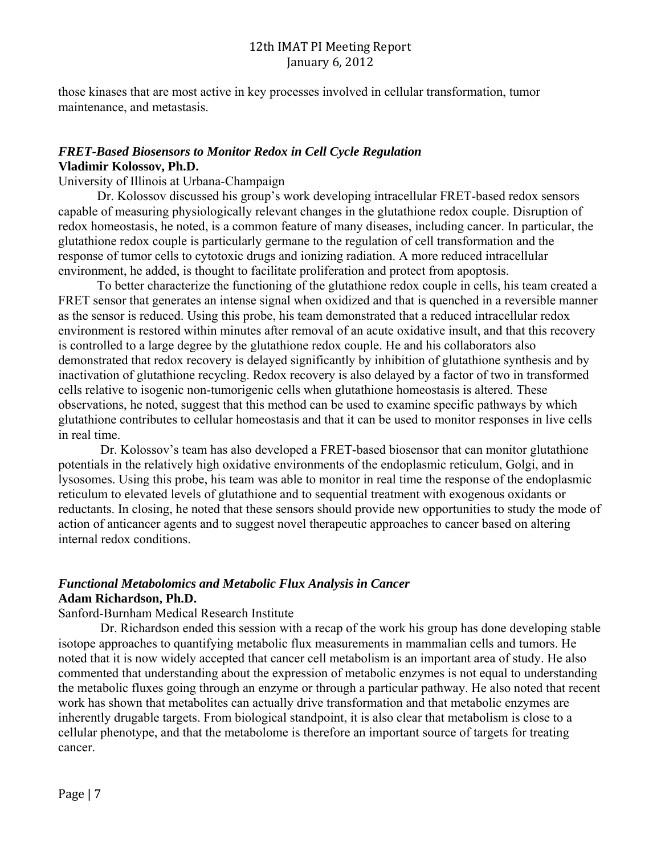those kinases that are most active in key processes involved in cellular transformation, tumor maintenance, and metastasis.

## *FRET-Based Biosensors to Monitor Redox in Cell Cycle Regulation*  **Vladimir Kolossov, Ph.D.**

University of Illinois at Urbana-Champaign

Dr. Kolossov discussed his group's work developing intracellular FRET-based redox sensors capable of measuring physiologically relevant changes in the glutathione redox couple. Disruption of redox homeostasis, he noted, is a common feature of many diseases, including cancer. In particular, the glutathione redox couple is particularly germane to the regulation of cell transformation and the response of tumor cells to cytotoxic drugs and ionizing radiation. A more reduced intracellular environment, he added, is thought to facilitate proliferation and protect from apoptosis.

To better characterize the functioning of the glutathione redox couple in cells, his team created a FRET sensor that generates an intense signal when oxidized and that is quenched in a reversible manner as the sensor is reduced. Using this probe, his team demonstrated that a reduced intracellular redox environment is restored within minutes after removal of an acute oxidative insult, and that this recovery is controlled to a large degree by the glutathione redox couple. He and his collaborators also demonstrated that redox recovery is delayed significantly by inhibition of glutathione synthesis and by inactivation of glutathione recycling. Redox recovery is also delayed by a factor of two in transformed cells relative to isogenic non-tumorigenic cells when glutathione homeostasis is altered. These observations, he noted, suggest that this method can be used to examine specific pathways by which glutathione contributes to cellular homeostasis and that it can be used to monitor responses in live cells in real time.

 Dr. Kolossov's team has also developed a FRET-based biosensor that can monitor glutathione potentials in the relatively high oxidative environments of the endoplasmic reticulum, Golgi, and in lysosomes. Using this probe, his team was able to monitor in real time the response of the endoplasmic reticulum to elevated levels of glutathione and to sequential treatment with exogenous oxidants or reductants. In closing, he noted that these sensors should provide new opportunities to study the mode of action of anticancer agents and to suggest novel therapeutic approaches to cancer based on altering internal redox conditions.

## *Functional Metabolomics and Metabolic Flux Analysis in Cancer*  **Adam Richardson, Ph.D.**

#### Sanford-Burnham Medical Research Institute

 Dr. Richardson ended this session with a recap of the work his group has done developing stable isotope approaches to quantifying metabolic flux measurements in mammalian cells and tumors. He noted that it is now widely accepted that cancer cell metabolism is an important area of study. He also commented that understanding about the expression of metabolic enzymes is not equal to understanding the metabolic fluxes going through an enzyme or through a particular pathway. He also noted that recent work has shown that metabolites can actually drive transformation and that metabolic enzymes are inherently drugable targets. From biological standpoint, it is also clear that metabolism is close to a cellular phenotype, and that the metabolome is therefore an important source of targets for treating cancer.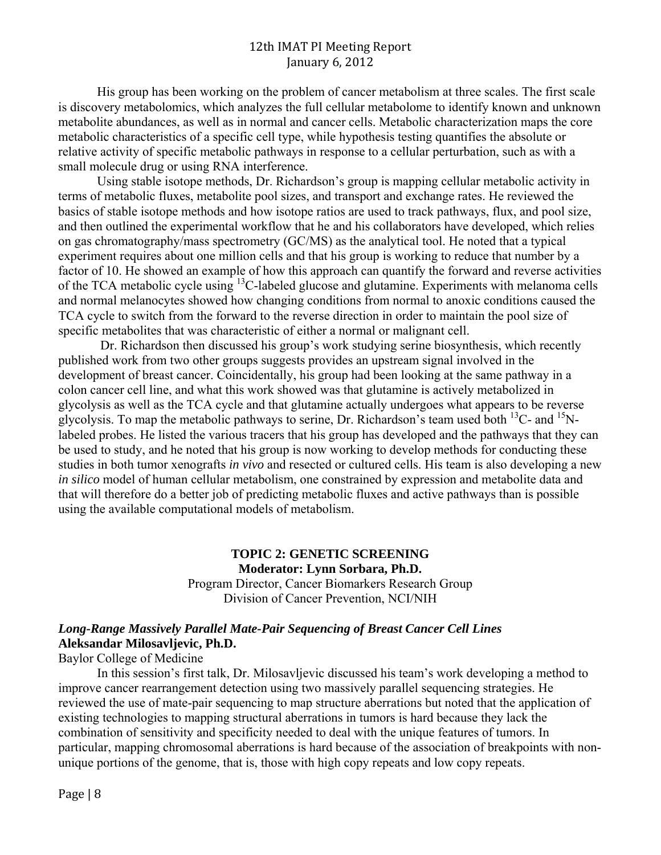His group has been working on the problem of cancer metabolism at three scales. The first scale is discovery metabolomics, which analyzes the full cellular metabolome to identify known and unknown metabolite abundances, as well as in normal and cancer cells. Metabolic characterization maps the core metabolic characteristics of a specific cell type, while hypothesis testing quantifies the absolute or relative activity of specific metabolic pathways in response to a cellular perturbation, such as with a small molecule drug or using RNA interference.

Using stable isotope methods, Dr. Richardson's group is mapping cellular metabolic activity in terms of metabolic fluxes, metabolite pool sizes, and transport and exchange rates. He reviewed the basics of stable isotope methods and how isotope ratios are used to track pathways, flux, and pool size, and then outlined the experimental workflow that he and his collaborators have developed, which relies on gas chromatography/mass spectrometry (GC/MS) as the analytical tool. He noted that a typical experiment requires about one million cells and that his group is working to reduce that number by a factor of 10. He showed an example of how this approach can quantify the forward and reverse activities of the TCA metabolic cycle using 13C-labeled glucose and glutamine. Experiments with melanoma cells and normal melanocytes showed how changing conditions from normal to anoxic conditions caused the TCA cycle to switch from the forward to the reverse direction in order to maintain the pool size of specific metabolites that was characteristic of either a normal or malignant cell.

 using the available computational models of metabolism. Dr. Richardson then discussed his group's work studying serine biosynthesis, which recently published work from two other groups suggests provides an upstream signal involved in the development of breast cancer. Coincidentally, his group had been looking at the same pathway in a colon cancer cell line, and what this work showed was that glutamine is actively metabolized in glycolysis as well as the TCA cycle and that glutamine actually undergoes what appears to be reverse glycolysis. To map the metabolic pathways to serine, Dr. Richardson's team used both  $^{13}$ C- and  $^{15}$ Nlabeled probes. He listed the various tracers that his group has developed and the pathways that they can be used to study, and he noted that his group is now working to develop methods for conducting these studies in both tumor xenografts *in vivo* and resected or cultured cells. His team is also developing a new *in silico* model of human cellular metabolism, one constrained by expression and metabolite data and that will therefore do a better job of predicting metabolic fluxes and active pathways than is possible

#### **TOPIC 2: GENETIC SCREENING Moderator: Lynn Sorbara, Ph.D.** Program Director, Cancer Biomarkers Research Group Division of Cancer Prevention, NCI/NIH

## *Long-Range Massively Parallel Mate-Pair Sequencing of Breast Cancer Cell Lines*  **Aleksandar Milosavljevic, Ph.D.**

Baylor College of Medicine

In this session's first talk, Dr. Milosavljevic discussed his team's work developing a method to improve cancer rearrangement detection using two massively parallel sequencing strategies. He reviewed the use of mate-pair sequencing to map structure aberrations but noted that the application of existing technologies to mapping structural aberrations in tumors is hard because they lack the combination of sensitivity and specificity needed to deal with the unique features of tumors. In particular, mapping chromosomal aberrations is hard because of the association of breakpoints with nonunique portions of the genome, that is, those with high copy repeats and low copy repeats.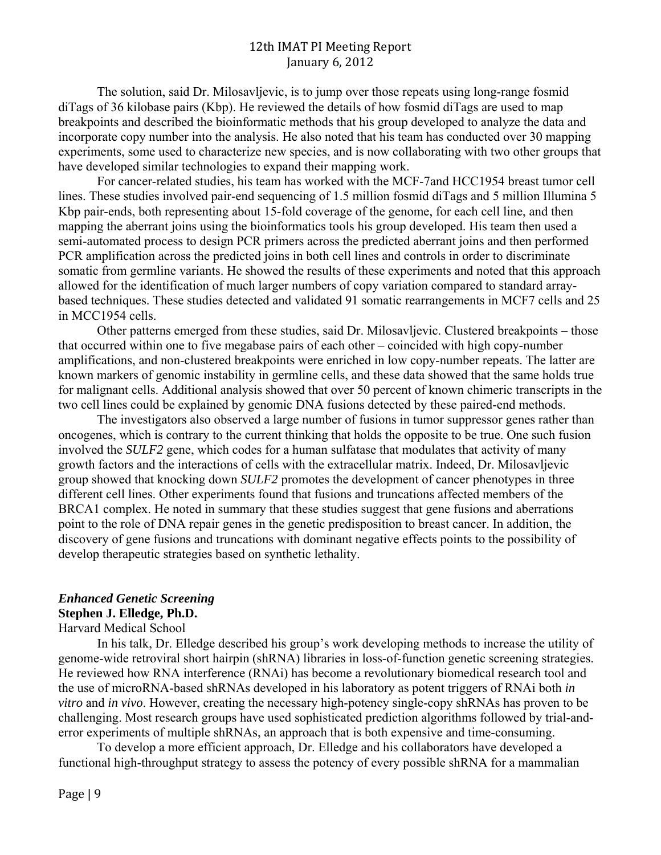The solution, said Dr. Milosavljevic, is to jump over those repeats using long-range fosmid diTags of 36 kilobase pairs (Kbp). He reviewed the details of how fosmid diTags are used to map breakpoints and described the bioinformatic methods that his group developed to analyze the data and incorporate copy number into the analysis. He also noted that his team has conducted over 30 mapping experiments, some used to characterize new species, and is now collaborating with two other groups that have developed similar technologies to expand their mapping work.

For cancer-related studies, his team has worked with the MCF-7and HCC1954 breast tumor cell lines. These studies involved pair-end sequencing of 1.5 million fosmid diTags and 5 million Illumina 5 Kbp pair-ends, both representing about 15-fold coverage of the genome, for each cell line, and then mapping the aberrant joins using the bioinformatics tools his group developed. His team then used a semi-automated process to design PCR primers across the predicted aberrant joins and then performed PCR amplification across the predicted joins in both cell lines and controls in order to discriminate somatic from germline variants. He showed the results of these experiments and noted that this approach allowed for the identification of much larger numbers of copy variation compared to standard arraybased techniques. These studies detected and validated 91 somatic rearrangements in MCF7 cells and 25 in MCC1954 cells.

Other patterns emerged from these studies, said Dr. Milosavljevic. Clustered breakpoints – those that occurred within one to five megabase pairs of each other – coincided with high copy-number amplifications, and non-clustered breakpoints were enriched in low copy-number repeats. The latter are known markers of genomic instability in germline cells, and these data showed that the same holds true for malignant cells. Additional analysis showed that over 50 percent of known chimeric transcripts in the two cell lines could be explained by genomic DNA fusions detected by these paired-end methods.

The investigators also observed a large number of fusions in tumor suppressor genes rather than oncogenes, which is contrary to the current thinking that holds the opposite to be true. One such fusion involved the *SULF2* gene, which codes for a human sulfatase that modulates that activity of many growth factors and the interactions of cells with the extracellular matrix. Indeed, Dr. Milosavljevic group showed that knocking down *SULF2* promotes the development of cancer phenotypes in three different cell lines. Other experiments found that fusions and truncations affected members of the BRCA1 complex. He noted in summary that these studies suggest that gene fusions and aberrations point to the role of DNA repair genes in the genetic predisposition to breast cancer. In addition, the discovery of gene fusions and truncations with dominant negative effects points to the possibility of develop therapeutic strategies based on synthetic lethality.

### *Enhanced Genetic Screening*

#### **Stephen J. Elledge, Ph.D.**

Harvard Medical School

In his talk, Dr. Elledge described his group's work developing methods to increase the utility of genome-wide retroviral short hairpin (shRNA) libraries in loss-of-function genetic screening strategies. He reviewed how RNA interference (RNAi) has become a revolutionary biomedical research tool and the use of microRNA-based shRNAs developed in his laboratory as potent triggers of RNAi both *in vitro* and *in vivo*. However, creating the necessary high-potency single-copy shRNAs has proven to be challenging. Most research groups have used sophisticated prediction algorithms followed by trial-anderror experiments of multiple shRNAs, an approach that is both expensive and time-consuming.

To develop a more efficient approach, Dr. Elledge and his collaborators have developed a functional high-throughput strategy to assess the potency of every possible shRNA for a mammalian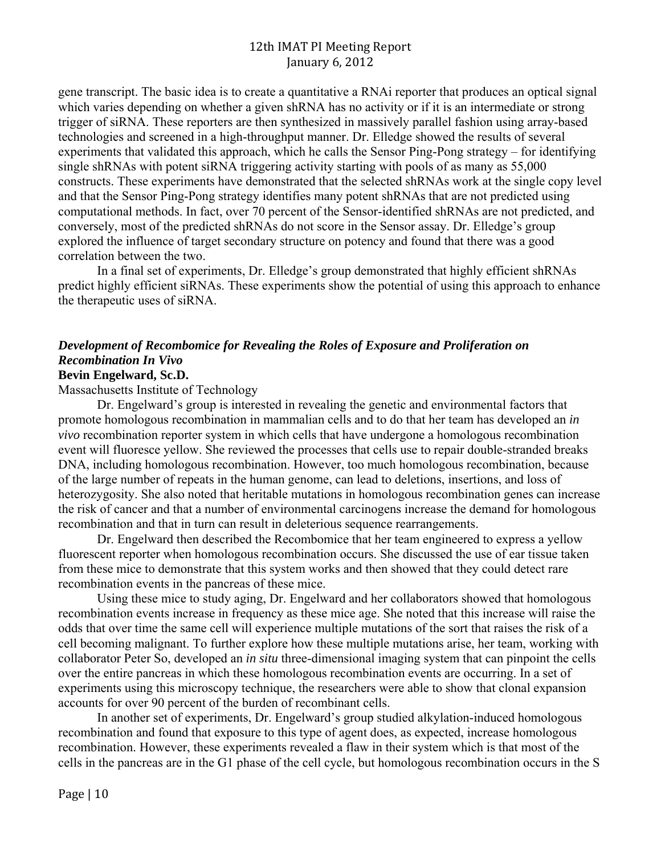gene transcript. The basic idea is to create a quantitative a RNAi reporter that produces an optical signal which varies depending on whether a given shRNA has no activity or if it is an intermediate or strong trigger of siRNA. These reporters are then synthesized in massively parallel fashion using array-based technologies and screened in a high-throughput manner. Dr. Elledge showed the results of several experiments that validated this approach, which he calls the Sensor Ping-Pong strategy – for identifying single shRNAs with potent siRNA triggering activity starting with pools of as many as 55,000 constructs. These experiments have demonstrated that the selected shRNAs work at the single copy level and that the Sensor Ping-Pong strategy identifies many potent shRNAs that are not predicted using computational methods. In fact, over 70 percent of the Sensor-identified shRNAs are not predicted, and conversely, most of the predicted shRNAs do not score in the Sensor assay. Dr. Elledge's group explored the influence of target secondary structure on potency and found that there was a good correlation between the two.

In a final set of experiments, Dr. Elledge's group demonstrated that highly efficient shRNAs predict highly efficient siRNAs. These experiments show the potential of using this approach to enhance the therapeutic uses of siRNA.

# *Development of Recombomice for Revealing the Roles of Exposure and Proliferation on Recombination In Vivo*

## **Bevin Engelward, Sc.D.**

Massachusetts Institute of Technology

Dr. Engelward's group is interested in revealing the genetic and environmental factors that promote homologous recombination in mammalian cells and to do that her team has developed an *in vivo* recombination reporter system in which cells that have undergone a homologous recombination event will fluoresce yellow. She reviewed the processes that cells use to repair double-stranded breaks DNA, including homologous recombination. However, too much homologous recombination, because of the large number of repeats in the human genome, can lead to deletions, insertions, and loss of heterozygosity. She also noted that heritable mutations in homologous recombination genes can increase the risk of cancer and that a number of environmental carcinogens increase the demand for homologous recombination and that in turn can result in deleterious sequence rearrangements.

Dr. Engelward then described the Recombomice that her team engineered to express a yellow fluorescent reporter when homologous recombination occurs. She discussed the use of ear tissue taken from these mice to demonstrate that this system works and then showed that they could detect rare recombination events in the pancreas of these mice.

Using these mice to study aging, Dr. Engelward and her collaborators showed that homologous recombination events increase in frequency as these mice age. She noted that this increase will raise the odds that over time the same cell will experience multiple mutations of the sort that raises the risk of a cell becoming malignant. To further explore how these multiple mutations arise, her team, working with collaborator Peter So, developed an *in situ* three-dimensional imaging system that can pinpoint the cells over the entire pancreas in which these homologous recombination events are occurring. In a set of experiments using this microscopy technique, the researchers were able to show that clonal expansion accounts for over 90 percent of the burden of recombinant cells.

In another set of experiments, Dr. Engelward's group studied alkylation-induced homologous recombination and found that exposure to this type of agent does, as expected, increase homologous recombination. However, these experiments revealed a flaw in their system which is that most of the cells in the pancreas are in the G1 phase of the cell cycle, but homologous recombination occurs in the S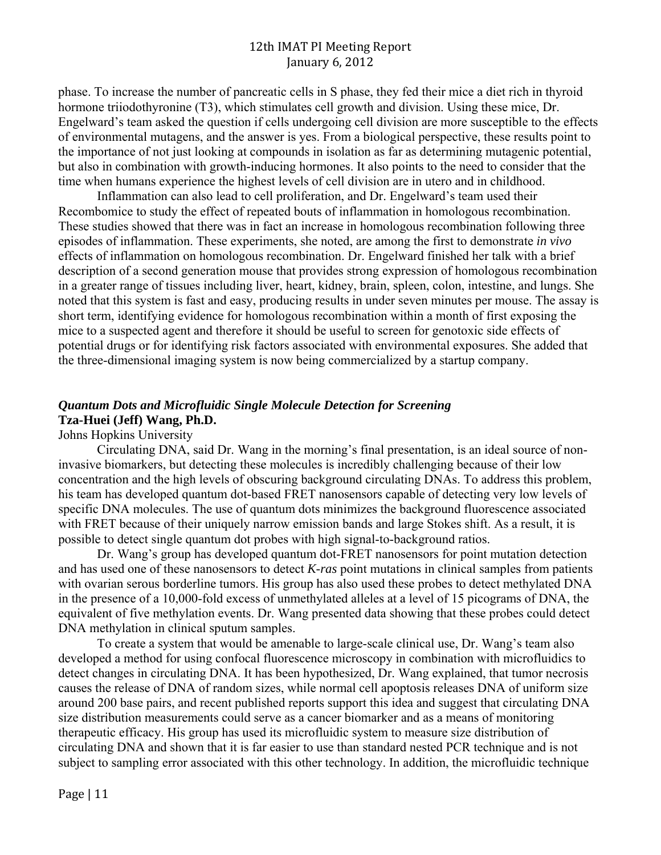phase. To increase the number of pancreatic cells in S phase, they fed their mice a diet rich in thyroid hormone triiodothyronine (T3), which stimulates cell growth and division. Using these mice, Dr. Engelward's team asked the question if cells undergoing cell division are more susceptible to the effects of environmental mutagens, and the answer is yes. From a biological perspective, these results point to the importance of not just looking at compounds in isolation as far as determining mutagenic potential, but also in combination with growth-inducing hormones. It also points to the need to consider that the time when humans experience the highest levels of cell division are in utero and in childhood.

Inflammation can also lead to cell proliferation, and Dr. Engelward's team used their Recombomice to study the effect of repeated bouts of inflammation in homologous recombination. These studies showed that there was in fact an increase in homologous recombination following three episodes of inflammation. These experiments, she noted, are among the first to demonstrate *in vivo*  effects of inflammation on homologous recombination. Dr. Engelward finished her talk with a brief description of a second generation mouse that provides strong expression of homologous recombination in a greater range of tissues including liver, heart, kidney, brain, spleen, colon, intestine, and lungs. She noted that this system is fast and easy, producing results in under seven minutes per mouse. The assay is short term, identifying evidence for homologous recombination within a month of first exposing the mice to a suspected agent and therefore it should be useful to screen for genotoxic side effects of potential drugs or for identifying risk factors associated with environmental exposures. She added that the three-dimensional imaging system is now being commercialized by a startup company.

## *Quantum Dots and Microfluidic Single Molecule Detection for Screening*  **Tza-Huei (Jeff) Wang, Ph.D.**

## Johns Hopkins University

Circulating DNA, said Dr. Wang in the morning's final presentation, is an ideal source of noninvasive biomarkers, but detecting these molecules is incredibly challenging because of their low concentration and the high levels of obscuring background circulating DNAs. To address this problem, his team has developed quantum dot-based FRET nanosensors capable of detecting very low levels of specific DNA molecules. The use of quantum dots minimizes the background fluorescence associated with FRET because of their uniquely narrow emission bands and large Stokes shift. As a result, it is possible to detect single quantum dot probes with high signal-to-background ratios.

Dr. Wang's group has developed quantum dot-FRET nanosensors for point mutation detection and has used one of these nanosensors to detect *K-ras* point mutations in clinical samples from patients with ovarian serous borderline tumors. His group has also used these probes to detect methylated DNA in the presence of a 10,000-fold excess of unmethylated alleles at a level of 15 picograms of DNA, the equivalent of five methylation events. Dr. Wang presented data showing that these probes could detect DNA methylation in clinical sputum samples.

To create a system that would be amenable to large-scale clinical use, Dr. Wang's team also developed a method for using confocal fluorescence microscopy in combination with microfluidics to detect changes in circulating DNA. It has been hypothesized, Dr. Wang explained, that tumor necrosis causes the release of DNA of random sizes, while normal cell apoptosis releases DNA of uniform size around 200 base pairs, and recent published reports support this idea and suggest that circulating DNA size distribution measurements could serve as a cancer biomarker and as a means of monitoring therapeutic efficacy. His group has used its microfluidic system to measure size distribution of circulating DNA and shown that it is far easier to use than standard nested PCR technique and is not subject to sampling error associated with this other technology. In addition, the microfluidic technique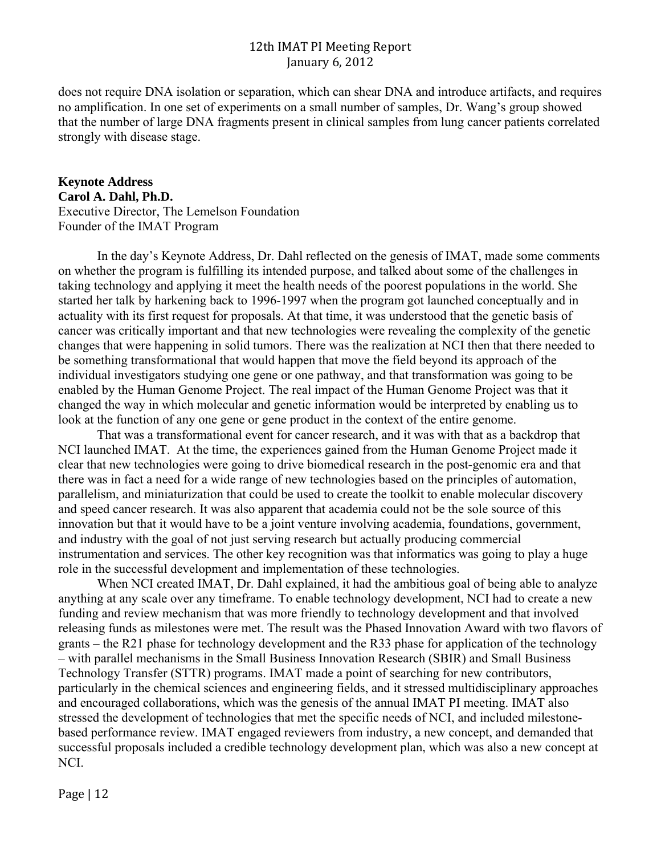does not require DNA isolation or separation, which can shear DNA and introduce artifacts, and requires no amplification. In one set of experiments on a small number of samples, Dr. Wang's group showed that the number of large DNA fragments present in clinical samples from lung cancer patients correlated strongly with disease stage.

**Keynote Address Carol A. Dahl, Ph.D.**  Executive Director, The Lemelson Foundation Founder of the IMAT Program

In the day's Keynote Address, Dr. Dahl reflected on the genesis of IMAT, made some comments on whether the program is fulfilling its intended purpose, and talked about some of the challenges in taking technology and applying it meet the health needs of the poorest populations in the world. She started her talk by harkening back to 1996-1997 when the program got launched conceptually and in actuality with its first request for proposals. At that time, it was understood that the genetic basis of cancer was critically important and that new technologies were revealing the complexity of the genetic changes that were happening in solid tumors. There was the realization at NCI then that there needed to be something transformational that would happen that move the field beyond its approach of the individual investigators studying one gene or one pathway, and that transformation was going to be enabled by the Human Genome Project. The real impact of the Human Genome Project was that it changed the way in which molecular and genetic information would be interpreted by enabling us to look at the function of any one gene or gene product in the context of the entire genome.

That was a transformational event for cancer research, and it was with that as a backdrop that NCI launched IMAT. At the time, the experiences gained from the Human Genome Project made it clear that new technologies were going to drive biomedical research in the post-genomic era and that there was in fact a need for a wide range of new technologies based on the principles of automation, parallelism, and miniaturization that could be used to create the toolkit to enable molecular discovery and speed cancer research. It was also apparent that academia could not be the sole source of this innovation but that it would have to be a joint venture involving academia, foundations, government, and industry with the goal of not just serving research but actually producing commercial instrumentation and services. The other key recognition was that informatics was going to play a huge role in the successful development and implementation of these technologies.

When NCI created IMAT, Dr. Dahl explained, it had the ambitious goal of being able to analyze anything at any scale over any timeframe. To enable technology development, NCI had to create a new funding and review mechanism that was more friendly to technology development and that involved releasing funds as milestones were met. The result was the Phased Innovation Award with two flavors of grants – the R21 phase for technology development and the R33 phase for application of the technology – with parallel mechanisms in the Small Business Innovation Research (SBIR) and Small Business Technology Transfer (STTR) programs. IMAT made a point of searching for new contributors, particularly in the chemical sciences and engineering fields, and it stressed multidisciplinary approaches and encouraged collaborations, which was the genesis of the annual IMAT PI meeting. IMAT also stressed the development of technologies that met the specific needs of NCI, and included milestonebased performance review. IMAT engaged reviewers from industry, a new concept, and demanded that successful proposals included a credible technology development plan, which was also a new concept at NCI.

Page  $|12$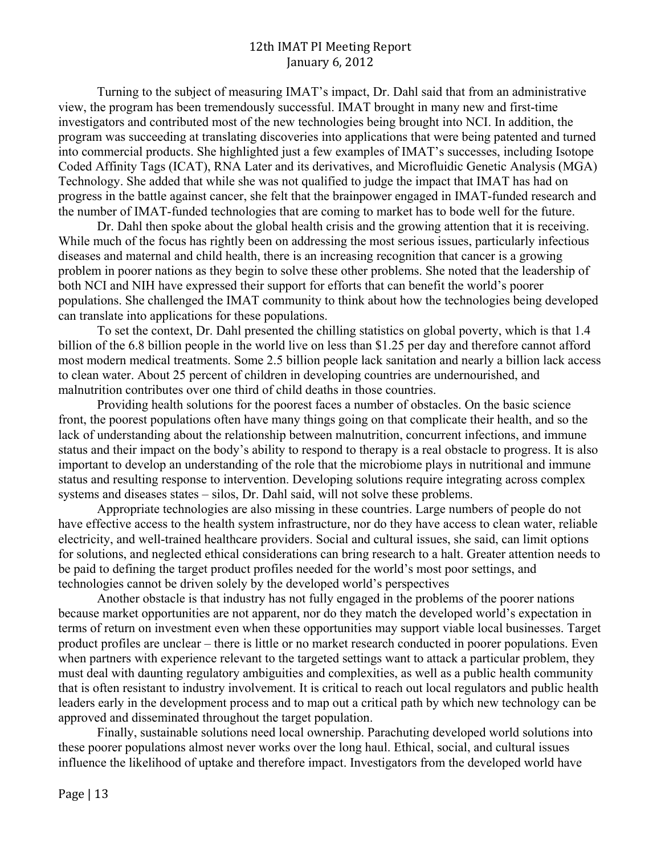Turning to the subject of measuring IMAT's impact, Dr. Dahl said that from an administrative view, the program has been tremendously successful. IMAT brought in many new and first-time investigators and contributed most of the new technologies being brought into NCI. In addition, the program was succeeding at translating discoveries into applications that were being patented and turned into commercial products. She highlighted just a few examples of IMAT's successes, including Isotope Coded Affinity Tags (ICAT), RNA Later and its derivatives, and Microfluidic Genetic Analysis (MGA) Technology. She added that while she was not qualified to judge the impact that IMAT has had on progress in the battle against cancer, she felt that the brainpower engaged in IMAT-funded research and the number of IMAT-funded technologies that are coming to market has to bode well for the future.

Dr. Dahl then spoke about the global health crisis and the growing attention that it is receiving. While much of the focus has rightly been on addressing the most serious issues, particularly infectious diseases and maternal and child health, there is an increasing recognition that cancer is a growing problem in poorer nations as they begin to solve these other problems. She noted that the leadership of both NCI and NIH have expressed their support for efforts that can benefit the world's poorer populations. She challenged the IMAT community to think about how the technologies being developed can translate into applications for these populations.

To set the context, Dr. Dahl presented the chilling statistics on global poverty, which is that 1.4 billion of the 6.8 billion people in the world live on less than \$1.25 per day and therefore cannot afford most modern medical treatments. Some 2.5 billion people lack sanitation and nearly a billion lack access to clean water. About 25 percent of children in developing countries are undernourished, and malnutrition contributes over one third of child deaths in those countries.

Providing health solutions for the poorest faces a number of obstacles. On the basic science front, the poorest populations often have many things going on that complicate their health, and so the lack of understanding about the relationship between malnutrition, concurrent infections, and immune status and their impact on the body's ability to respond to therapy is a real obstacle to progress. It is also important to develop an understanding of the role that the microbiome plays in nutritional and immune status and resulting response to intervention. Developing solutions require integrating across complex systems and diseases states – silos, Dr. Dahl said, will not solve these problems.

 Appropriate technologies are also missing in these countries. Large numbers of people do not have effective access to the health system infrastructure, nor do they have access to clean water, reliable electricity, and well-trained healthcare providers. Social and cultural issues, she said, can limit options for solutions, and neglected ethical considerations can bring research to a halt. Greater attention needs to be paid to defining the target product profiles needed for the world's most poor settings, and technologies cannot be driven solely by the developed world's perspectives

Another obstacle is that industry has not fully engaged in the problems of the poorer nations because market opportunities are not apparent, nor do they match the developed world's expectation in terms of return on investment even when these opportunities may support viable local businesses. Target product profiles are unclear – there is little or no market research conducted in poorer populations. Even when partners with experience relevant to the targeted settings want to attack a particular problem, they must deal with daunting regulatory ambiguities and complexities, as well as a public health community that is often resistant to industry involvement. It is critical to reach out local regulators and public health leaders early in the development process and to map out a critical path by which new technology can be approved and disseminated throughout the target population.

Finally, sustainable solutions need local ownership. Parachuting developed world solutions into these poorer populations almost never works over the long haul. Ethical, social, and cultural issues influence the likelihood of uptake and therefore impact. Investigators from the developed world have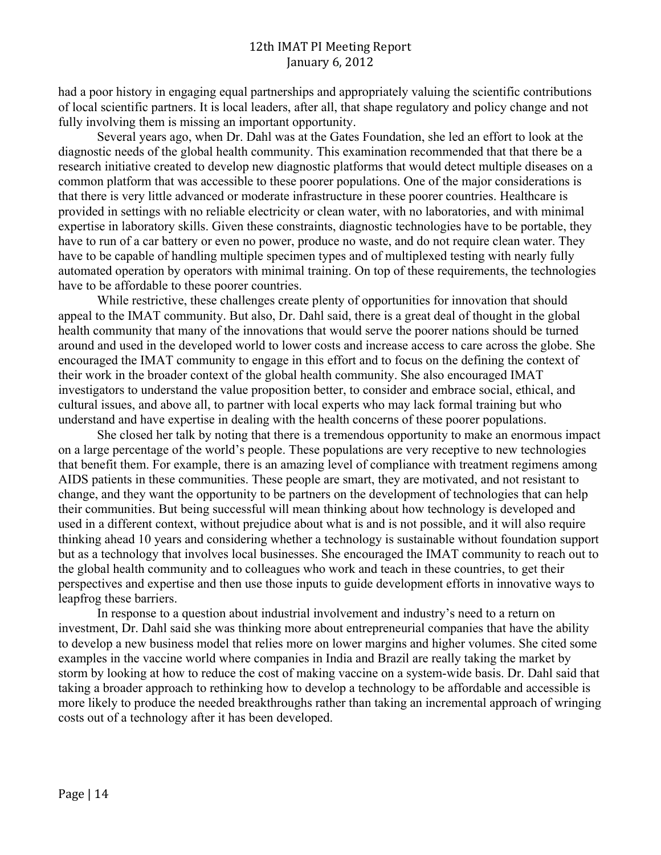had a poor history in engaging equal partnerships and appropriately valuing the scientific contributions of local scientific partners. It is local leaders, after all, that shape regulatory and policy change and not fully involving them is missing an important opportunity.

Several years ago, when Dr. Dahl was at the Gates Foundation, she led an effort to look at the diagnostic needs of the global health community. This examination recommended that that there be a research initiative created to develop new diagnostic platforms that would detect multiple diseases on a common platform that was accessible to these poorer populations. One of the major considerations is that there is very little advanced or moderate infrastructure in these poorer countries. Healthcare is provided in settings with no reliable electricity or clean water, with no laboratories, and with minimal expertise in laboratory skills. Given these constraints, diagnostic technologies have to be portable, they have to run of a car battery or even no power, produce no waste, and do not require clean water. They have to be capable of handling multiple specimen types and of multiplexed testing with nearly fully automated operation by operators with minimal training. On top of these requirements, the technologies have to be affordable to these poorer countries.

While restrictive, these challenges create plenty of opportunities for innovation that should appeal to the IMAT community. But also, Dr. Dahl said, there is a great deal of thought in the global health community that many of the innovations that would serve the poorer nations should be turned around and used in the developed world to lower costs and increase access to care across the globe. She encouraged the IMAT community to engage in this effort and to focus on the defining the context of their work in the broader context of the global health community. She also encouraged IMAT investigators to understand the value proposition better, to consider and embrace social, ethical, and cultural issues, and above all, to partner with local experts who may lack formal training but who understand and have expertise in dealing with the health concerns of these poorer populations.

She closed her talk by noting that there is a tremendous opportunity to make an enormous impact on a large percentage of the world's people. These populations are very receptive to new technologies that benefit them. For example, there is an amazing level of compliance with treatment regimens among AIDS patients in these communities. These people are smart, they are motivated, and not resistant to change, and they want the opportunity to be partners on the development of technologies that can help their communities. But being successful will mean thinking about how technology is developed and used in a different context, without prejudice about what is and is not possible, and it will also require thinking ahead 10 years and considering whether a technology is sustainable without foundation support but as a technology that involves local businesses. She encouraged the IMAT community to reach out to the global health community and to colleagues who work and teach in these countries, to get their perspectives and expertise and then use those inputs to guide development efforts in innovative ways to leapfrog these barriers.

In response to a question about industrial involvement and industry's need to a return on investment, Dr. Dahl said she was thinking more about entrepreneurial companies that have the ability to develop a new business model that relies more on lower margins and higher volumes. She cited some examples in the vaccine world where companies in India and Brazil are really taking the market by storm by looking at how to reduce the cost of making vaccine on a system-wide basis. Dr. Dahl said that taking a broader approach to rethinking how to develop a technology to be affordable and accessible is more likely to produce the needed breakthroughs rather than taking an incremental approach of wringing costs out of a technology after it has been developed.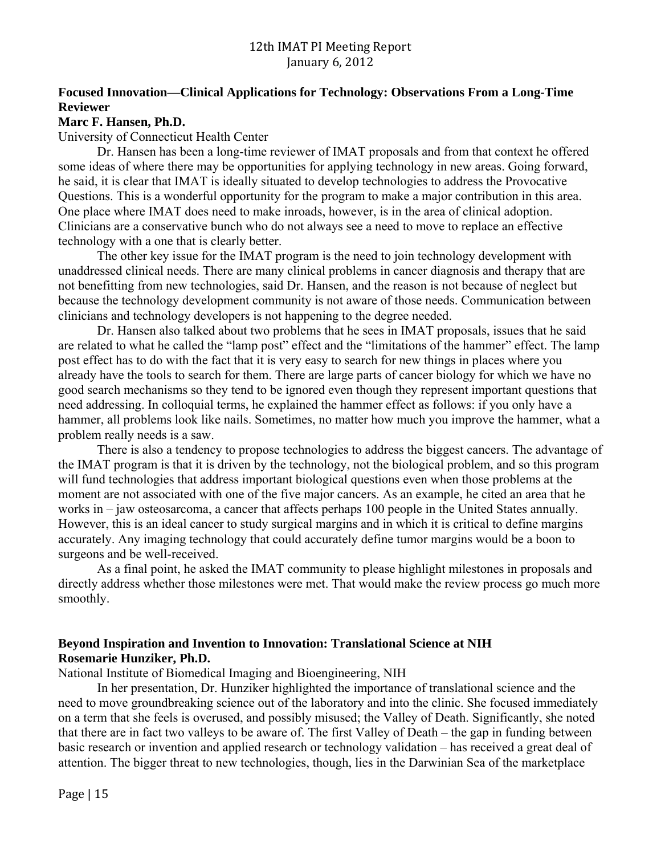# **Reviewer Focused Innovation—Clinical Applications for Technology: Observations From a Long-Time**

**Marc F. Hansen, Ph.D.** 

## University of Connecticut Health Center

Dr. Hansen has been a long-time reviewer of IMAT proposals and from that context he offered some ideas of where there may be opportunities for applying technology in new areas. Going forward, he said, it is clear that IMAT is ideally situated to develop technologies to address the Provocative Questions. This is a wonderful opportunity for the program to make a major contribution in this area. One place where IMAT does need to make inroads, however, is in the area of clinical adoption. Clinicians are a conservative bunch who do not always see a need to move to replace an effective technology with a one that is clearly better.

The other key issue for the IMAT program is the need to join technology development with unaddressed clinical needs. There are many clinical problems in cancer diagnosis and therapy that are not benefitting from new technologies, said Dr. Hansen, and the reason is not because of neglect but because the technology development community is not aware of those needs. Communication between clinicians and technology developers is not happening to the degree needed.

Dr. Hansen also talked about two problems that he sees in IMAT proposals, issues that he said are related to what he called the "lamp post" effect and the "limitations of the hammer" effect. The lamp post effect has to do with the fact that it is very easy to search for new things in places where you already have the tools to search for them. There are large parts of cancer biology for which we have no good search mechanisms so they tend to be ignored even though they represent important questions that need addressing. In colloquial terms, he explained the hammer effect as follows: if you only have a hammer, all problems look like nails. Sometimes, no matter how much you improve the hammer, what a problem really needs is a saw.

There is also a tendency to propose technologies to address the biggest cancers. The advantage of the IMAT program is that it is driven by the technology, not the biological problem, and so this program will fund technologies that address important biological questions even when those problems at the moment are not associated with one of the five major cancers. As an example, he cited an area that he works in – jaw osteosarcoma, a cancer that affects perhaps 100 people in the United States annually. However, this is an ideal cancer to study surgical margins and in which it is critical to define margins accurately. Any imaging technology that could accurately define tumor margins would be a boon to surgeons and be well-received.

As a final point, he asked the IMAT community to please highlight milestones in proposals and directly address whether those milestones were met. That would make the review process go much more smoothly.

## **Beyond Inspiration and Invention to Innovation: Translational Science at NIH Rosemarie Hunziker, Ph.D.**

National Institute of Biomedical Imaging and Bioengineering, NIH

In her presentation, Dr. Hunziker highlighted the importance of translational science and the need to move groundbreaking science out of the laboratory and into the clinic. She focused immediately on a term that she feels is overused, and possibly misused; the Valley of Death. Significantly, she noted that there are in fact two valleys to be aware of. The first Valley of Death – the gap in funding between basic research or invention and applied research or technology validation – has received a great deal of attention. The bigger threat to new technologies, though, lies in the Darwinian Sea of the marketplace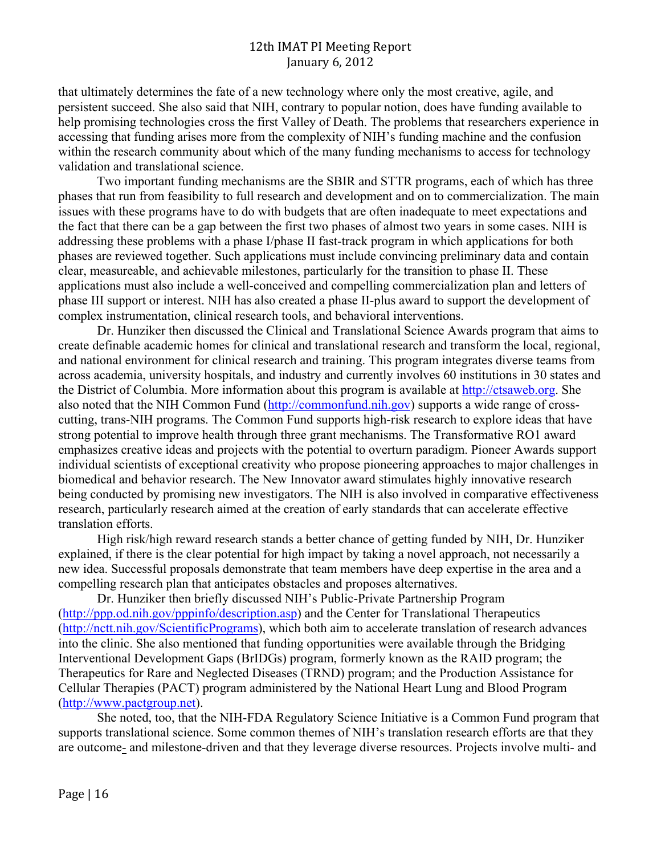that ultimately determines the fate of a new technology where only the most creative, agile, and persistent succeed. She also said that NIH, contrary to popular notion, does have funding available to help promising technologies cross the first Valley of Death. The problems that researchers experience in accessing that funding arises more from the complexity of NIH's funding machine and the confusion within the research community about which of the many funding mechanisms to access for technology validation and translational science.

Two important funding mechanisms are the SBIR and STTR programs, each of which has three phases that run from feasibility to full research and development and on to commercialization. The main issues with these programs have to do with budgets that are often inadequate to meet expectations and the fact that there can be a gap between the first two phases of almost two years in some cases. NIH is addressing these problems with a phase I/phase II fast-track program in which applications for both phases are reviewed together. Such applications must include convincing preliminary data and contain clear, measureable, and achievable milestones, particularly for the transition to phase II. These applications must also include a well-conceived and compelling commercialization plan and letters of phase III support or interest. NIH has also created a phase II-plus award to support the development of complex instrumentation, clinical research tools, and behavioral interventions.

Dr. Hunziker then discussed the Clinical and Translational Science Awards program that aims to create definable academic homes for clinical and translational research and transform the local, regional, and national environment for clinical research and training. This program integrates diverse teams from across academia, university hospitals, and industry and currently involves 60 institutions in 30 states and the District of Columbia. More information about this program is available at http://ctsaweb.org. She also noted that the NIH Common Fund (http://commonfund.nih.gov) supports a wide range of crosscutting, trans-NIH programs. The Common Fund supports high-risk research to explore ideas that have strong potential to improve health through three grant mechanisms. The Transformative RO1 award emphasizes creative ideas and projects with the potential to overturn paradigm. Pioneer Awards support individual scientists of exceptional creativity who propose pioneering approaches to major challenges in biomedical and behavior research. The New Innovator award stimulates highly innovative research being conducted by promising new investigators. The NIH is also involved in comparative effectiveness research, particularly research aimed at the creation of early standards that can accelerate effective translation efforts.

High risk/high reward research stands a better chance of getting funded by NIH, Dr. Hunziker explained, if there is the clear potential for high impact by taking a novel approach, not necessarily a new idea. Successful proposals demonstrate that team members have deep expertise in the area and a compelling research plan that anticipates obstacles and proposes alternatives.

Dr. Hunziker then briefly discussed NIH's Public-Private Partnership Program (http://ppp.od.nih.gov/pppinfo/description.asp) and the Center for Translational Therapeutics (http://nctt.nih.gov/ScientificPrograms), which both aim to accelerate translation of research advances into the clinic. She also mentioned that funding opportunities were available through the Bridging Interventional Development Gaps (BrIDGs) program, formerly known as the RAID program; the Therapeutics for Rare and Neglected Diseases (TRND) program; and the Production Assistance for Cellular Therapies (PACT) program administered by the National Heart Lung and Blood Program (http://www.pactgroup.net).

She noted, too, that the NIH-FDA Regulatory Science Initiative is a Common Fund program that supports translational science. Some common themes of NIH's translation research efforts are that they are outcome- and milestone-driven and that they leverage diverse resources. Projects involve multi- and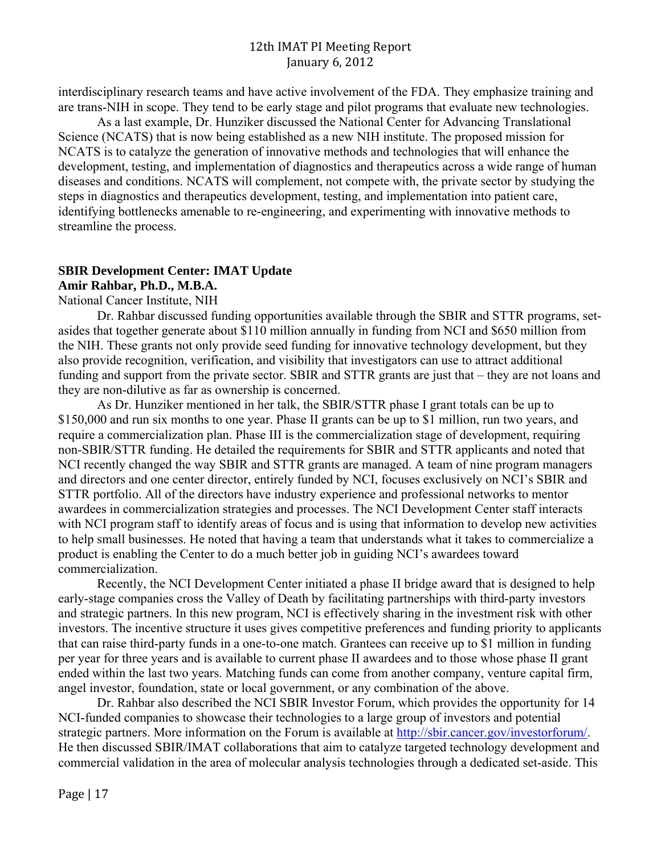interdisciplinary research teams and have active involvement of the FDA. They emphasize training and are trans-NIH in scope. They tend to be early stage and pilot programs that evaluate new technologies.

As a last example, Dr. Hunziker discussed the National Center for Advancing Translational Science (NCATS) that is now being established as a new NIH institute. The proposed mission for NCATS is to catalyze the generation of innovative methods and technologies that will enhance the development, testing, and implementation of diagnostics and therapeutics across a wide range of human diseases and conditions. NCATS will complement, not compete with, the private sector by studying the steps in diagnostics and therapeutics development, testing, and implementation into patient care, identifying bottlenecks amenable to re-engineering, and experimenting with innovative methods to streamline the process.

# **SBIR Development Center: IMAT Update Amir Rahbar, Ph.D., M.B.A.**

National Cancer Institute, NIH

Dr. Rahbar discussed funding opportunities available through the SBIR and STTR programs, setasides that together generate about \$110 million annually in funding from NCI and \$650 million from the NIH. These grants not only provide seed funding for innovative technology development, but they also provide recognition, verification, and visibility that investigators can use to attract additional funding and support from the private sector. SBIR and STTR grants are just that – they are not loans and they are non-dilutive as far as ownership is concerned.

As Dr. Hunziker mentioned in her talk, the SBIR/STTR phase I grant totals can be up to \$150,000 and run six months to one year. Phase II grants can be up to \$1 million, run two years, and require a commercialization plan. Phase III is the commercialization stage of development, requiring non-SBIR/STTR funding. He detailed the requirements for SBIR and STTR applicants and noted that NCI recently changed the way SBIR and STTR grants are managed. A team of nine program managers and directors and one center director, entirely funded by NCI, focuses exclusively on NCI's SBIR and STTR portfolio. All of the directors have industry experience and professional networks to mentor awardees in commercialization strategies and processes. The NCI Development Center staff interacts with NCI program staff to identify areas of focus and is using that information to develop new activities to help small businesses. He noted that having a team that understands what it takes to commercialize a product is enabling the Center to do a much better job in guiding NCI's awardees toward commercialization.

Recently, the NCI Development Center initiated a phase II bridge award that is designed to help early-stage companies cross the Valley of Death by facilitating partnerships with third-party investors and strategic partners. In this new program, NCI is effectively sharing in the investment risk with other investors. The incentive structure it uses gives competitive preferences and funding priority to applicants that can raise third-party funds in a one-to-one match. Grantees can receive up to \$1 million in funding per year for three years and is available to current phase II awardees and to those whose phase II grant ended within the last two years. Matching funds can come from another company, venture capital firm, angel investor, foundation, state or local government, or any combination of the above.

Dr. Rahbar also described the NCI SBIR Investor Forum, which provides the opportunity for 14 NCI-funded companies to showcase their technologies to a large group of investors and potential strategic partners. More information on the Forum is available at http://sbir.cancer.gov/investorforum/. He then discussed SBIR/IMAT collaborations that aim to catalyze targeted technology development and commercial validation in the area of molecular analysis technologies through a dedicated set-aside. This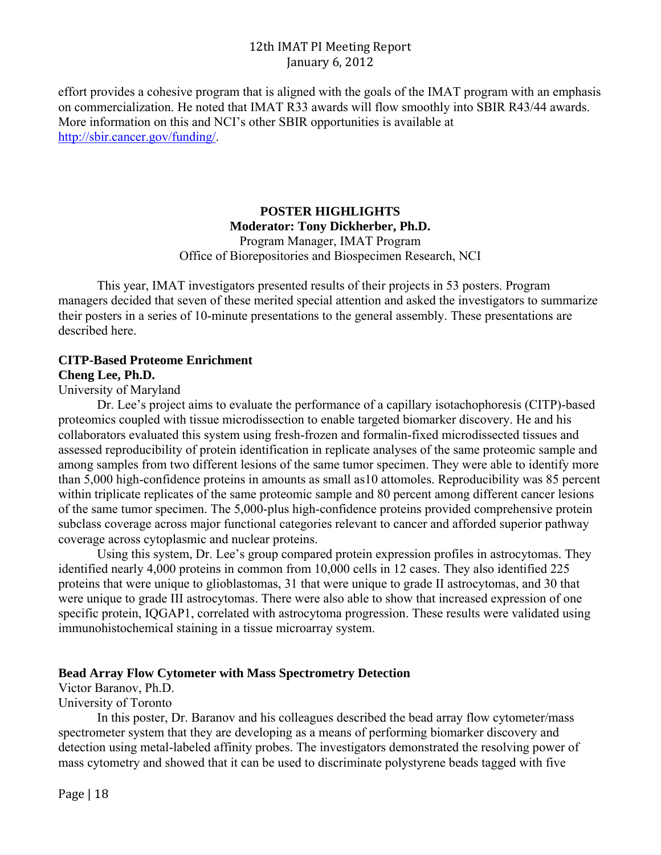effort provides a cohesive program that is aligned with the goals of the IMAT program with an emphasis on commercialization. He noted that IMAT R33 awards will flow smoothly into SBIR R43/44 awards. More information on this and NCI's other SBIR opportunities is available at http://sbir.cancer.gov/funding/.

## **POSTER HIGHLIGHTS Moderator: Tony Dickherber, Ph.D.**  Program Manager, IMAT Program

Office of Biorepositories and Biospecimen Research, NCI

This year, IMAT investigators presented results of their projects in 53 posters. Program managers decided that seven of these merited special attention and asked the investigators to summarize their posters in a series of 10-minute presentations to the general assembly. These presentations are described here.

# **CITP-Based Proteome Enrichment**

## **Cheng Lee, Ph.D.**

University of Maryland

Dr. Lee's project aims to evaluate the performance of a capillary isotachophoresis (CITP)-based proteomics coupled with tissue microdissection to enable targeted biomarker discovery. He and his collaborators evaluated this system using fresh-frozen and formalin-fixed microdissected tissues and assessed reproducibility of protein identification in replicate analyses of the same proteomic sample and among samples from two different lesions of the same tumor specimen. They were able to identify more than 5,000 high-confidence proteins in amounts as small as10 attomoles. Reproducibility was 85 percent within triplicate replicates of the same proteomic sample and 80 percent among different cancer lesions of the same tumor specimen. The 5,000-plus high-confidence proteins provided comprehensive protein subclass coverage across major functional categories relevant to cancer and afforded superior pathway coverage across cytoplasmic and nuclear proteins.

Using this system, Dr. Lee's group compared protein expression profiles in astrocytomas. They identified nearly 4,000 proteins in common from 10,000 cells in 12 cases. They also identified 225 proteins that were unique to glioblastomas, 31 that were unique to grade II astrocytomas, and 30 that were unique to grade III astrocytomas. There were also able to show that increased expression of one specific protein, IQGAP1, correlated with astrocytoma progression. These results were validated using immunohistochemical staining in a tissue microarray system.

## **Bead Array Flow Cytometer with Mass Spectrometry Detection**

Victor Baranov, Ph.D.

University of Toronto

In this poster, Dr. Baranov and his colleagues described the bead array flow cytometer/mass spectrometer system that they are developing as a means of performing biomarker discovery and detection using metal-labeled affinity probes. The investigators demonstrated the resolving power of mass cytometry and showed that it can be used to discriminate polystyrene beads tagged with five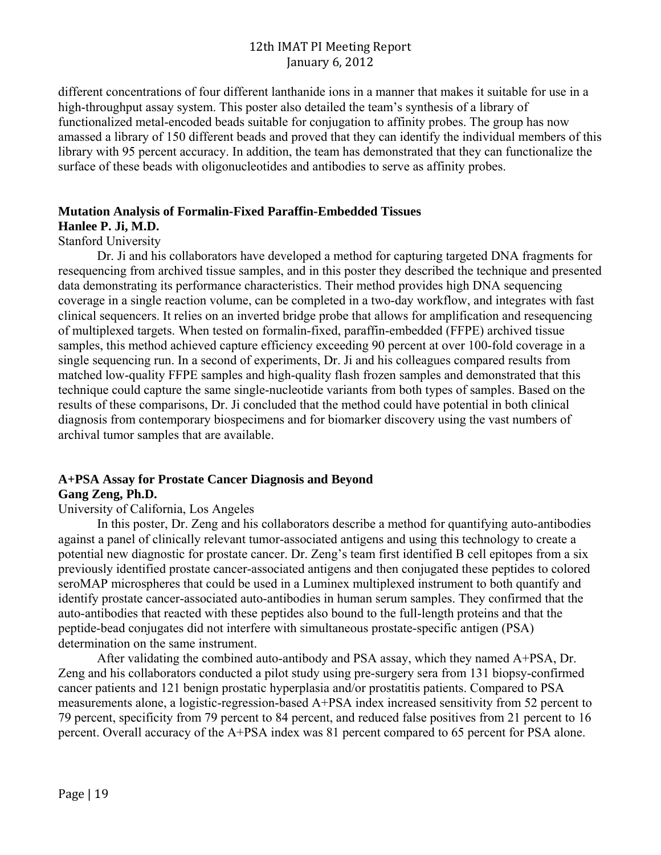different concentrations of four different lanthanide ions in a manner that makes it suitable for use in a high-throughput assay system. This poster also detailed the team's synthesis of a library of functionalized metal-encoded beads suitable for conjugation to affinity probes. The group has now amassed a library of 150 different beads and proved that they can identify the individual members of this library with 95 percent accuracy. In addition, the team has demonstrated that they can functionalize the surface of these beads with oligonucleotides and antibodies to serve as affinity probes.

#### **Mutation Analysis of Formalin-Fixed Paraffin-Embedded Tissues**

# **Hanlee P. Ji, M.D.**

#### Stanford University

Dr. Ji and his collaborators have developed a method for capturing targeted DNA fragments for resequencing from archived tissue samples, and in this poster they described the technique and presented data demonstrating its performance characteristics. Their method provides high DNA sequencing coverage in a single reaction volume, can be completed in a two-day workflow, and integrates with fast clinical sequencers. It relies on an inverted bridge probe that allows for amplification and resequencing of multiplexed targets. When tested on formalin-fixed, paraffin-embedded (FFPE) archived tissue samples, this method achieved capture efficiency exceeding 90 percent at over 100-fold coverage in a single sequencing run. In a second of experiments, Dr. Ji and his colleagues compared results from matched low-quality FFPE samples and high-quality flash frozen samples and demonstrated that this technique could capture the same single-nucleotide variants from both types of samples. Based on the results of these comparisons, Dr. Ji concluded that the method could have potential in both clinical diagnosis from contemporary biospecimens and for biomarker discovery using the vast numbers of archival tumor samples that are available.

# **A+PSA Assay for Prostate Cancer Diagnosis and Beyond**

## **Gang Zeng, Ph.D.**

#### University of California, Los Angeles

In this poster, Dr. Zeng and his collaborators describe a method for quantifying auto-antibodies against a panel of clinically relevant tumor-associated antigens and using this technology to create a potential new diagnostic for prostate cancer. Dr. Zeng's team first identified B cell epitopes from a six previously identified prostate cancer-associated antigens and then conjugated these peptides to colored seroMAP microspheres that could be used in a Luminex multiplexed instrument to both quantify and identify prostate cancer-associated auto-antibodies in human serum samples. They confirmed that the auto-antibodies that reacted with these peptides also bound to the full-length proteins and that the peptide-bead conjugates did not interfere with simultaneous prostate-specific antigen (PSA) determination on the same instrument.

After validating the combined auto-antibody and PSA assay, which they named A+PSA, Dr. Zeng and his collaborators conducted a pilot study using pre-surgery sera from 131 biopsy-confirmed cancer patients and 121 benign prostatic hyperplasia and/or prostatitis patients. Compared to PSA measurements alone, a logistic-regression-based A+PSA index increased sensitivity from 52 percent to 79 percent, specificity from 79 percent to 84 percent, and reduced false positives from 21 percent to 16 percent. Overall accuracy of the A+PSA index was 81 percent compared to 65 percent for PSA alone.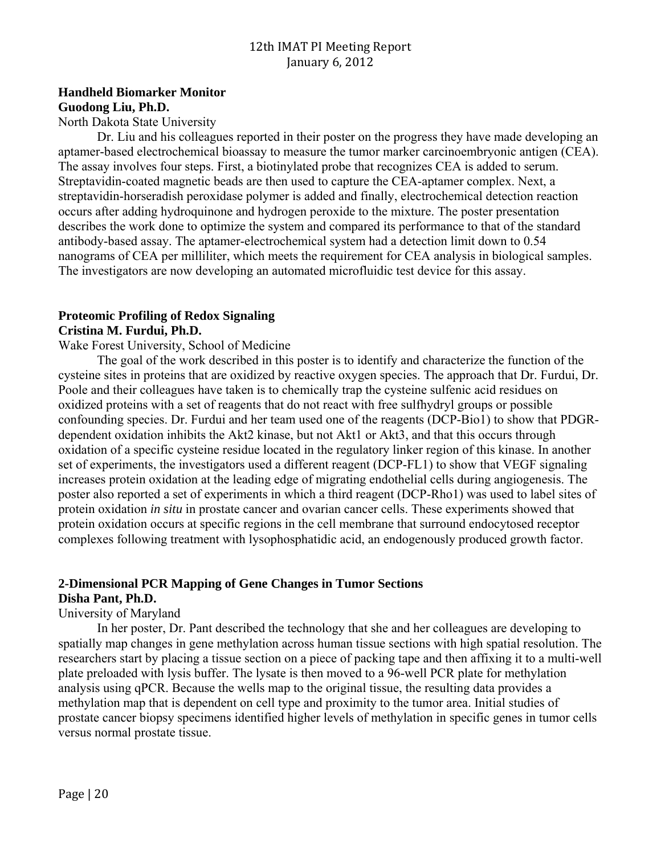## **Handheld Biomarker Monitor Guodong Liu, Ph.D.**

North Dakota State University

Dr. Liu and his colleagues reported in their poster on the progress they have made developing an aptamer-based electrochemical bioassay to measure the tumor marker carcinoembryonic antigen (CEA). The assay involves four steps. First, a biotinylated probe that recognizes CEA is added to serum. Streptavidin-coated magnetic beads are then used to capture the CEA-aptamer complex. Next, a streptavidin-horseradish peroxidase polymer is added and finally, electrochemical detection reaction occurs after adding hydroquinone and hydrogen peroxide to the mixture. The poster presentation describes the work done to optimize the system and compared its performance to that of the standard antibody-based assay. The aptamer-electrochemical system had a detection limit down to 0.54 nanograms of CEA per milliliter, which meets the requirement for CEA analysis in biological samples. The investigators are now developing an automated microfluidic test device for this assay.

#### **Proteomic Profiling of Redox Signaling Cristina M. Furdui, Ph.D.**

#### Wake Forest University, School of Medicine

The goal of the work described in this poster is to identify and characterize the function of the cysteine sites in proteins that are oxidized by reactive oxygen species. The approach that Dr. Furdui, Dr. Poole and their colleagues have taken is to chemically trap the cysteine sulfenic acid residues on oxidized proteins with a set of reagents that do not react with free sulfhydryl groups or possible confounding species. Dr. Furdui and her team used one of the reagents (DCP-Bio1) to show that PDGRdependent oxidation inhibits the Akt2 kinase, but not Akt1 or Akt3, and that this occurs through oxidation of a specific cysteine residue located in the regulatory linker region of this kinase. In another set of experiments, the investigators used a different reagent (DCP-FL1) to show that VEGF signaling increases protein oxidation at the leading edge of migrating endothelial cells during angiogenesis. The poster also reported a set of experiments in which a third reagent (DCP-Rho1) was used to label sites of protein oxidation *in situ* in prostate cancer and ovarian cancer cells. These experiments showed that protein oxidation occurs at specific regions in the cell membrane that surround endocytosed receptor complexes following treatment with lysophosphatidic acid, an endogenously produced growth factor.

# **2-Dimensional PCR Mapping of Gene Changes in Tumor Sections**

# **Disha Pant, Ph.D.**

### University of Maryland

In her poster, Dr. Pant described the technology that she and her colleagues are developing to spatially map changes in gene methylation across human tissue sections with high spatial resolution. The researchers start by placing a tissue section on a piece of packing tape and then affixing it to a multi-well plate preloaded with lysis buffer. The lysate is then moved to a 96-well PCR plate for methylation analysis using qPCR. Because the wells map to the original tissue, the resulting data provides a methylation map that is dependent on cell type and proximity to the tumor area. Initial studies of prostate cancer biopsy specimens identified higher levels of methylation in specific genes in tumor cells versus normal prostate tissue.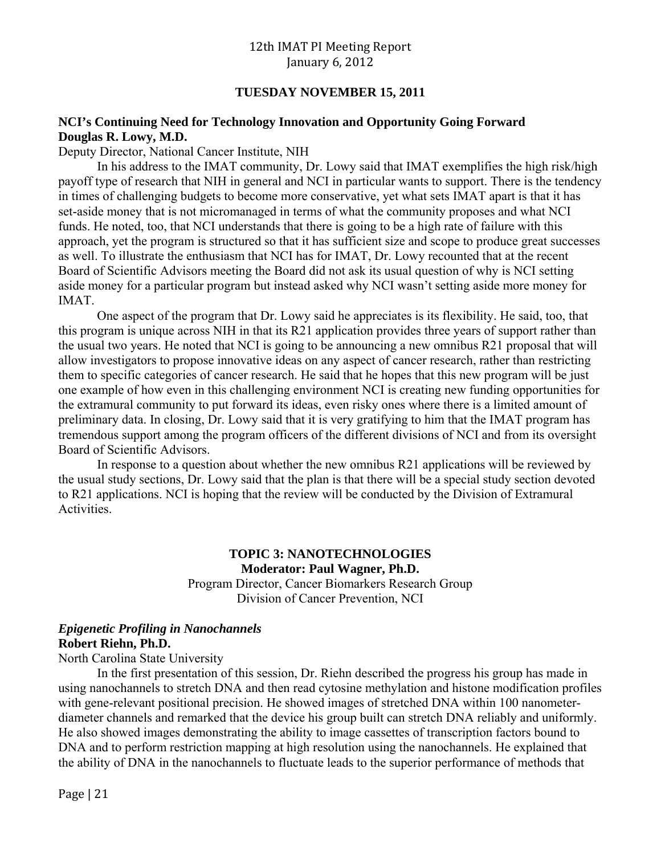#### **TUESDAY NOVEMBER 15, 2011**

#### **NCI's Continuing Need for Technology Innovation and Opportunity Going Forward Douglas R. Lowy, M.D.**

Deputy Director, National Cancer Institute, NIH

In his address to the IMAT community, Dr. Lowy said that IMAT exemplifies the high risk/high payoff type of research that NIH in general and NCI in particular wants to support. There is the tendency in times of challenging budgets to become more conservative, yet what sets IMAT apart is that it has set-aside money that is not micromanaged in terms of what the community proposes and what NCI funds. He noted, too, that NCI understands that there is going to be a high rate of failure with this approach, yet the program is structured so that it has sufficient size and scope to produce great successes as well. To illustrate the enthusiasm that NCI has for IMAT, Dr. Lowy recounted that at the recent Board of Scientific Advisors meeting the Board did not ask its usual question of why is NCI setting aside money for a particular program but instead asked why NCI wasn't setting aside more money for IMAT.

One aspect of the program that Dr. Lowy said he appreciates is its flexibility. He said, too, that this program is unique across NIH in that its R21 application provides three years of support rather than the usual two years. He noted that NCI is going to be announcing a new omnibus R21 proposal that will allow investigators to propose innovative ideas on any aspect of cancer research, rather than restricting them to specific categories of cancer research. He said that he hopes that this new program will be just one example of how even in this challenging environment NCI is creating new funding opportunities for the extramural community to put forward its ideas, even risky ones where there is a limited amount of preliminary data. In closing, Dr. Lowy said that it is very gratifying to him that the IMAT program has tremendous support among the program officers of the different divisions of NCI and from its oversight Board of Scientific Advisors.

In response to a question about whether the new omnibus R21 applications will be reviewed by the usual study sections, Dr. Lowy said that the plan is that there will be a special study section devoted to R21 applications. NCI is hoping that the review will be conducted by the Division of Extramural Activities.

# **TOPIC 3: NANOTECHNOLOGIES Moderator: Paul Wagner, Ph.D.**  Program Director, Cancer Biomarkers Research Group

Division of Cancer Prevention, NCI

#### *Epigenetic Profiling in Nanochannels*  **Robert Riehn, Ph.D.**

North Carolina State University

In the first presentation of this session, Dr. Riehn described the progress his group has made in using nanochannels to stretch DNA and then read cytosine methylation and histone modification profiles with gene-relevant positional precision. He showed images of stretched DNA within 100 nanometerdiameter channels and remarked that the device his group built can stretch DNA reliably and uniformly. He also showed images demonstrating the ability to image cassettes of transcription factors bound to DNA and to perform restriction mapping at high resolution using the nanochannels. He explained that the ability of DNA in the nanochannels to fluctuate leads to the superior performance of methods that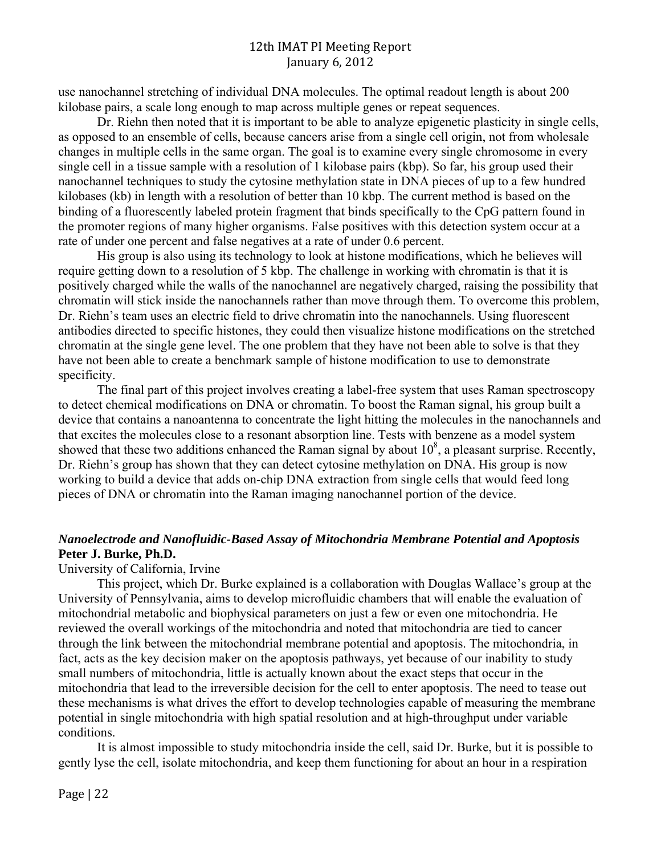use nanochannel stretching of individual DNA molecules. The optimal readout length is about 200 kilobase pairs, a scale long enough to map across multiple genes or repeat sequences.

Dr. Riehn then noted that it is important to be able to analyze epigenetic plasticity in single cells, as opposed to an ensemble of cells, because cancers arise from a single cell origin, not from wholesale changes in multiple cells in the same organ. The goal is to examine every single chromosome in every single cell in a tissue sample with a resolution of 1 kilobase pairs (kbp). So far, his group used their nanochannel techniques to study the cytosine methylation state in DNA pieces of up to a few hundred kilobases (kb) in length with a resolution of better than 10 kbp. The current method is based on the binding of a fluorescently labeled protein fragment that binds specifically to the CpG pattern found in the promoter regions of many higher organisms. False positives with this detection system occur at a rate of under one percent and false negatives at a rate of under 0.6 percent.

His group is also using its technology to look at histone modifications, which he believes will require getting down to a resolution of 5 kbp. The challenge in working with chromatin is that it is positively charged while the walls of the nanochannel are negatively charged, raising the possibility that chromatin will stick inside the nanochannels rather than move through them. To overcome this problem, Dr. Riehn's team uses an electric field to drive chromatin into the nanochannels. Using fluorescent antibodies directed to specific histones, they could then visualize histone modifications on the stretched chromatin at the single gene level. The one problem that they have not been able to solve is that they have not been able to create a benchmark sample of histone modification to use to demonstrate specificity.

The final part of this project involves creating a label-free system that uses Raman spectroscopy to detect chemical modifications on DNA or chromatin. To boost the Raman signal, his group built a device that contains a nanoantenna to concentrate the light hitting the molecules in the nanochannels and that excites the molecules close to a resonant absorption line. Tests with benzene as a model system showed that these two additions enhanced the Raman signal by about  $10<sup>8</sup>$ , a pleasant surprise. Recently, Dr. Riehn's group has shown that they can detect cytosine methylation on DNA. His group is now working to build a device that adds on-chip DNA extraction from single cells that would feed long pieces of DNA or chromatin into the Raman imaging nanochannel portion of the device.

## *Nanoelectrode and Nanofluidic-Based Assay of Mitochondria Membrane Potential and Apoptosis*  **Peter J. Burke, Ph.D.**

University of California, Irvine

This project, which Dr. Burke explained is a collaboration with Douglas Wallace's group at the University of Pennsylvania, aims to develop microfluidic chambers that will enable the evaluation of mitochondrial metabolic and biophysical parameters on just a few or even one mitochondria. He reviewed the overall workings of the mitochondria and noted that mitochondria are tied to cancer through the link between the mitochondrial membrane potential and apoptosis. The mitochondria, in fact, acts as the key decision maker on the apoptosis pathways, yet because of our inability to study small numbers of mitochondria, little is actually known about the exact steps that occur in the mitochondria that lead to the irreversible decision for the cell to enter apoptosis. The need to tease out these mechanisms is what drives the effort to develop technologies capable of measuring the membrane potential in single mitochondria with high spatial resolution and at high-throughput under variable conditions.

It is almost impossible to study mitochondria inside the cell, said Dr. Burke, but it is possible to gently lyse the cell, isolate mitochondria, and keep them functioning for about an hour in a respiration

Page  $|22$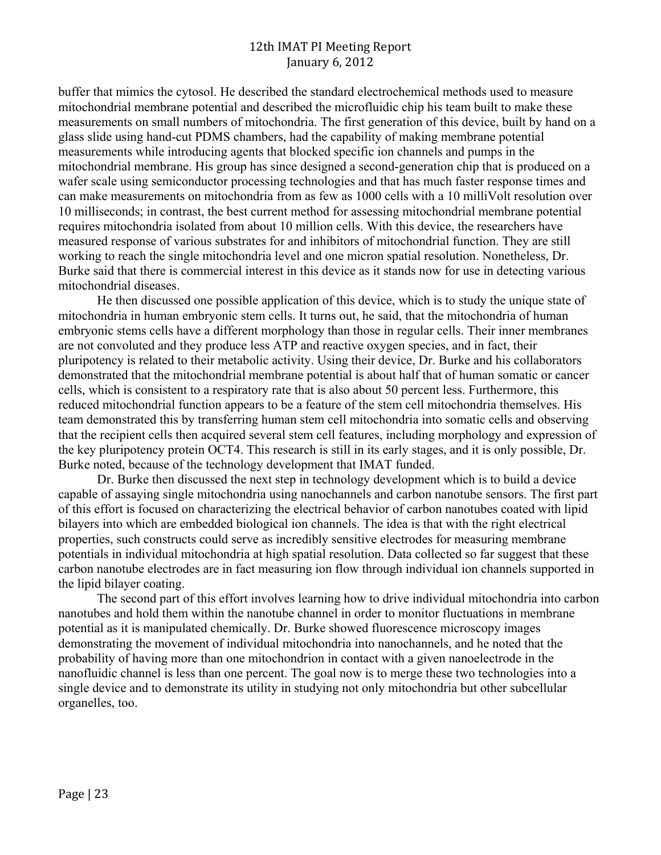buffer that mimics the cytosol. He described the standard electrochemical methods used to measure mitochondrial membrane potential and described the microfluidic chip his team built to make these measurements on small numbers of mitochondria. The first generation of this device, built by hand on a glass slide using hand-cut PDMS chambers, had the capability of making membrane potential measurements while introducing agents that blocked specific ion channels and pumps in the mitochondrial membrane. His group has since designed a second-generation chip that is produced on a wafer scale using semiconductor processing technologies and that has much faster response times and can make measurements on mitochondria from as few as 1000 cells with a 10 milliVolt resolution over 10 milliseconds; in contrast, the best current method for assessing mitochondrial membrane potential requires mitochondria isolated from about 10 million cells. With this device, the researchers have measured response of various substrates for and inhibitors of mitochondrial function. They are still working to reach the single mitochondria level and one micron spatial resolution. Nonetheless, Dr. Burke said that there is commercial interest in this device as it stands now for use in detecting various mitochondrial diseases.

He then discussed one possible application of this device, which is to study the unique state of mitochondria in human embryonic stem cells. It turns out, he said, that the mitochondria of human embryonic stems cells have a different morphology than those in regular cells. Their inner membranes are not convoluted and they produce less ATP and reactive oxygen species, and in fact, their pluripotency is related to their metabolic activity. Using their device, Dr. Burke and his collaborators demonstrated that the mitochondrial membrane potential is about half that of human somatic or cancer cells, which is consistent to a respiratory rate that is also about 50 percent less. Furthermore, this reduced mitochondrial function appears to be a feature of the stem cell mitochondria themselves. His team demonstrated this by transferring human stem cell mitochondria into somatic cells and observing that the recipient cells then acquired several stem cell features, including morphology and expression of the key pluripotency protein OCT4. This research is still in its early stages, and it is only possible, Dr. Burke noted, because of the technology development that IMAT funded.

Dr. Burke then discussed the next step in technology development which is to build a device capable of assaying single mitochondria using nanochannels and carbon nanotube sensors. The first part of this effort is focused on characterizing the electrical behavior of carbon nanotubes coated with lipid bilayers into which are embedded biological ion channels. The idea is that with the right electrical properties, such constructs could serve as incredibly sensitive electrodes for measuring membrane potentials in individual mitochondria at high spatial resolution. Data collected so far suggest that these carbon nanotube electrodes are in fact measuring ion flow through individual ion channels supported in the lipid bilayer coating.

The second part of this effort involves learning how to drive individual mitochondria into carbon nanotubes and hold them within the nanotube channel in order to monitor fluctuations in membrane potential as it is manipulated chemically. Dr. Burke showed fluorescence microscopy images demonstrating the movement of individual mitochondria into nanochannels, and he noted that the probability of having more than one mitochondrion in contact with a given nanoelectrode in the nanofluidic channel is less than one percent. The goal now is to merge these two technologies into a single device and to demonstrate its utility in studying not only mitochondria but other subcellular organelles, too.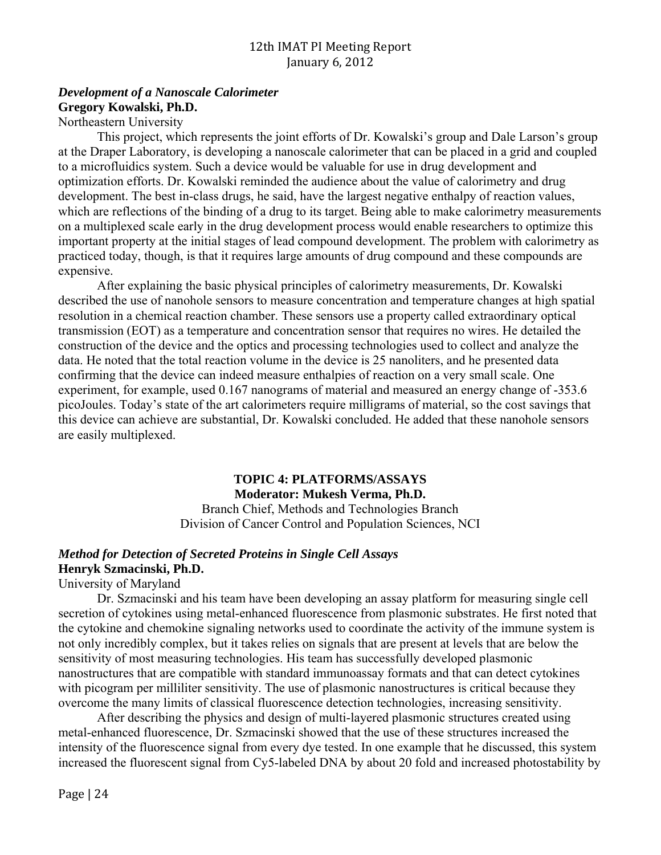## *Development of a Nanoscale Calorimeter*  **Gregory Kowalski, Ph.D.**

Northeastern University

This project, which represents the joint efforts of Dr. Kowalski's group and Dale Larson's group at the Draper Laboratory, is developing a nanoscale calorimeter that can be placed in a grid and coupled to a microfluidics system. Such a device would be valuable for use in drug development and optimization efforts. Dr. Kowalski reminded the audience about the value of calorimetry and drug development. The best in-class drugs, he said, have the largest negative enthalpy of reaction values, which are reflections of the binding of a drug to its target. Being able to make calorimetry measurements on a multiplexed scale early in the drug development process would enable researchers to optimize this important property at the initial stages of lead compound development. The problem with calorimetry as practiced today, though, is that it requires large amounts of drug compound and these compounds are expensive.

After explaining the basic physical principles of calorimetry measurements, Dr. Kowalski described the use of nanohole sensors to measure concentration and temperature changes at high spatial resolution in a chemical reaction chamber. These sensors use a property called extraordinary optical transmission (EOT) as a temperature and concentration sensor that requires no wires. He detailed the construction of the device and the optics and processing technologies used to collect and analyze the data. He noted that the total reaction volume in the device is 25 nanoliters, and he presented data confirming that the device can indeed measure enthalpies of reaction on a very small scale. One experiment, for example, used 0.167 nanograms of material and measured an energy change of -353.6 picoJoules. Today's state of the art calorimeters require milligrams of material, so the cost savings that this device can achieve are substantial, Dr. Kowalski concluded. He added that these nanohole sensors are easily multiplexed.

# **TOPIC 4: PLATFORMS/ASSAYS Moderator: Mukesh Verma, Ph.D.**

Branch Chief, Methods and Technologies Branch Division of Cancer Control and Population Sciences, NCI

## *Method for Detection of Secreted Proteins in Single Cell Assays*  **Henryk Szmacinski, Ph.D.**

## University of Maryland

Dr. Szmacinski and his team have been developing an assay platform for measuring single cell secretion of cytokines using metal-enhanced fluorescence from plasmonic substrates. He first noted that the cytokine and chemokine signaling networks used to coordinate the activity of the immune system is not only incredibly complex, but it takes relies on signals that are present at levels that are below the sensitivity of most measuring technologies. His team has successfully developed plasmonic nanostructures that are compatible with standard immunoassay formats and that can detect cytokines with picogram per milliliter sensitivity. The use of plasmonic nanostructures is critical because they overcome the many limits of classical fluorescence detection technologies, increasing sensitivity.

After describing the physics and design of multi-layered plasmonic structures created using metal-enhanced fluorescence, Dr. Szmacinski showed that the use of these structures increased the intensity of the fluorescence signal from every dye tested. In one example that he discussed, this system increased the fluorescent signal from Cy5-labeled DNA by about 20 fold and increased photostability by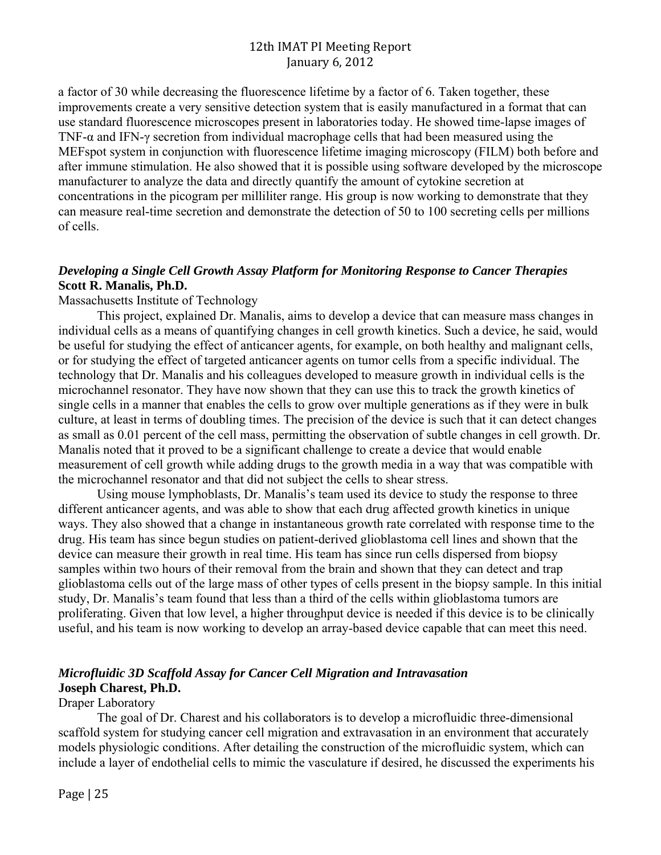a factor of 30 while decreasing the fluorescence lifetime by a factor of 6. Taken together, these improvements create a very sensitive detection system that is easily manufactured in a format that can use standard fluorescence microscopes present in laboratories today. He showed time-lapse images of TNF-α and IFN-γ secretion from individual macrophage cells that had been measured using the MEFspot system in conjunction with fluorescence lifetime imaging microscopy (FILM) both before and after immune stimulation. He also showed that it is possible using software developed by the microscope manufacturer to analyze the data and directly quantify the amount of cytokine secretion at concentrations in the picogram per milliliter range. His group is now working to demonstrate that they can measure real-time secretion and demonstrate the detection of 50 to 100 secreting cells per millions of cells.

## *Developing a Single Cell Growth Assay Platform for Monitoring Response to Cancer Therapies*  **Scott R. Manalis, Ph.D.**

Massachusetts Institute of Technology

This project, explained Dr. Manalis, aims to develop a device that can measure mass changes in individual cells as a means of quantifying changes in cell growth kinetics. Such a device, he said, would be useful for studying the effect of anticancer agents, for example, on both healthy and malignant cells, or for studying the effect of targeted anticancer agents on tumor cells from a specific individual. The technology that Dr. Manalis and his colleagues developed to measure growth in individual cells is the microchannel resonator. They have now shown that they can use this to track the growth kinetics of single cells in a manner that enables the cells to grow over multiple generations as if they were in bulk culture, at least in terms of doubling times. The precision of the device is such that it can detect changes as small as 0.01 percent of the cell mass, permitting the observation of subtle changes in cell growth. Dr. Manalis noted that it proved to be a significant challenge to create a device that would enable measurement of cell growth while adding drugs to the growth media in a way that was compatible with the microchannel resonator and that did not subject the cells to shear stress.

Using mouse lymphoblasts, Dr. Manalis's team used its device to study the response to three different anticancer agents, and was able to show that each drug affected growth kinetics in unique ways. They also showed that a change in instantaneous growth rate correlated with response time to the drug. His team has since begun studies on patient-derived glioblastoma cell lines and shown that the device can measure their growth in real time. His team has since run cells dispersed from biopsy samples within two hours of their removal from the brain and shown that they can detect and trap glioblastoma cells out of the large mass of other types of cells present in the biopsy sample. In this initial study, Dr. Manalis's team found that less than a third of the cells within glioblastoma tumors are proliferating. Given that low level, a higher throughput device is needed if this device is to be clinically useful, and his team is now working to develop an array-based device capable that can meet this need.

## *Microfluidic 3D Scaffold Assay for Cancer Cell Migration and Intravasation*  **Joseph Charest, Ph.D.**

#### Draper Laboratory

The goal of Dr. Charest and his collaborators is to develop a microfluidic three-dimensional scaffold system for studying cancer cell migration and extravasation in an environment that accurately models physiologic conditions. After detailing the construction of the microfluidic system, which can include a layer of endothelial cells to mimic the vasculature if desired, he discussed the experiments his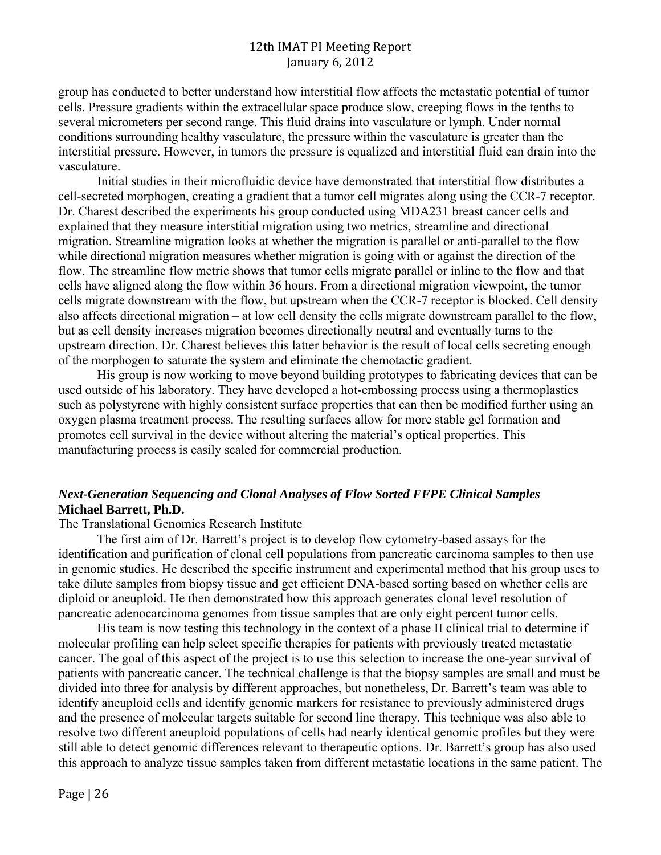group has conducted to better understand how interstitial flow affects the metastatic potential of tumor cells. Pressure gradients within the extracellular space produce slow, creeping flows in the tenths to several micrometers per second range. This fluid drains into vasculature or lymph. Under normal conditions surrounding healthy vasculature, the pressure within the vasculature is greater than the interstitial pressure. However, in tumors the pressure is equalized and interstitial fluid can drain into the vasculature.

Initial studies in their microfluidic device have demonstrated that interstitial flow distributes a cell-secreted morphogen, creating a gradient that a tumor cell migrates along using the CCR-7 receptor. Dr. Charest described the experiments his group conducted using MDA231 breast cancer cells and explained that they measure interstitial migration using two metrics, streamline and directional migration. Streamline migration looks at whether the migration is parallel or anti-parallel to the flow while directional migration measures whether migration is going with or against the direction of the flow. The streamline flow metric shows that tumor cells migrate parallel or inline to the flow and that cells have aligned along the flow within 36 hours. From a directional migration viewpoint, the tumor cells migrate downstream with the flow, but upstream when the CCR-7 receptor is blocked. Cell density also affects directional migration – at low cell density the cells migrate downstream parallel to the flow, but as cell density increases migration becomes directionally neutral and eventually turns to the upstream direction. Dr. Charest believes this latter behavior is the result of local cells secreting enough of the morphogen to saturate the system and eliminate the chemotactic gradient.

His group is now working to move beyond building prototypes to fabricating devices that can be used outside of his laboratory. They have developed a hot-embossing process using a thermoplastics such as polystyrene with highly consistent surface properties that can then be modified further using an oxygen plasma treatment process. The resulting surfaces allow for more stable gel formation and promotes cell survival in the device without altering the material's optical properties. This manufacturing process is easily scaled for commercial production.

## *Next-Generation Sequencing and Clonal Analyses of Flow Sorted FFPE Clinical Samples*  **Michael Barrett, Ph.D.**

The Translational Genomics Research Institute

The first aim of Dr. Barrett's project is to develop flow cytometry-based assays for the identification and purification of clonal cell populations from pancreatic carcinoma samples to then use in genomic studies. He described the specific instrument and experimental method that his group uses to take dilute samples from biopsy tissue and get efficient DNA-based sorting based on whether cells are diploid or aneuploid. He then demonstrated how this approach generates clonal level resolution of pancreatic adenocarcinoma genomes from tissue samples that are only eight percent tumor cells.

His team is now testing this technology in the context of a phase II clinical trial to determine if molecular profiling can help select specific therapies for patients with previously treated metastatic cancer. The goal of this aspect of the project is to use this selection to increase the one-year survival of patients with pancreatic cancer. The technical challenge is that the biopsy samples are small and must be divided into three for analysis by different approaches, but nonetheless, Dr. Barrett's team was able to identify aneuploid cells and identify genomic markers for resistance to previously administered drugs and the presence of molecular targets suitable for second line therapy. This technique was also able to resolve two different aneuploid populations of cells had nearly identical genomic profiles but they were still able to detect genomic differences relevant to therapeutic options. Dr. Barrett's group has also used this approach to analyze tissue samples taken from different metastatic locations in the same patient. The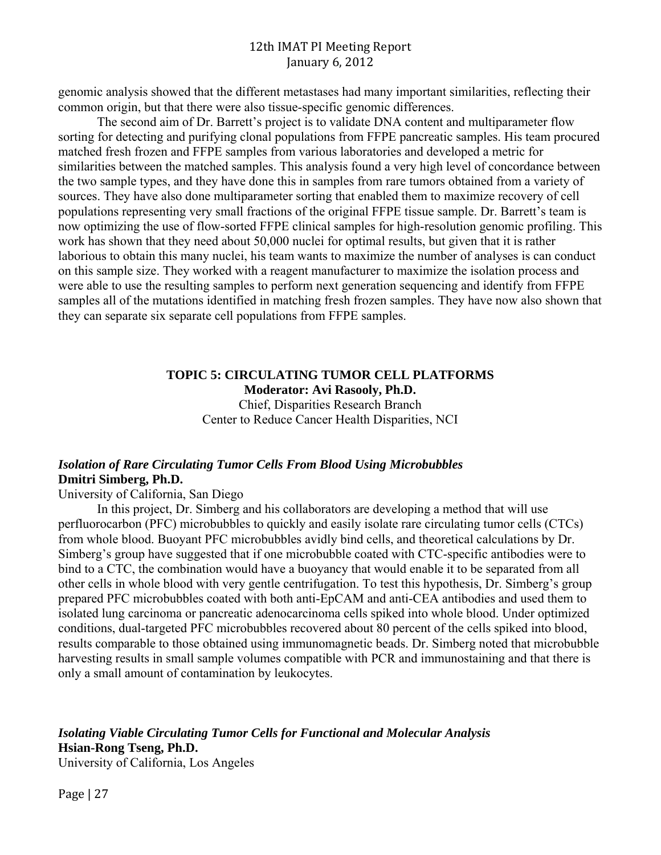genomic analysis showed that the different metastases had many important similarities, reflecting their common origin, but that there were also tissue-specific genomic differences.

The second aim of Dr. Barrett's project is to validate DNA content and multiparameter flow sorting for detecting and purifying clonal populations from FFPE pancreatic samples. His team procured matched fresh frozen and FFPE samples from various laboratories and developed a metric for similarities between the matched samples. This analysis found a very high level of concordance between the two sample types, and they have done this in samples from rare tumors obtained from a variety of sources. They have also done multiparameter sorting that enabled them to maximize recovery of cell populations representing very small fractions of the original FFPE tissue sample. Dr. Barrett's team is now optimizing the use of flow-sorted FFPE clinical samples for high-resolution genomic profiling. This work has shown that they need about 50,000 nuclei for optimal results, but given that it is rather laborious to obtain this many nuclei, his team wants to maximize the number of analyses is can conduct on this sample size. They worked with a reagent manufacturer to maximize the isolation process and were able to use the resulting samples to perform next generation sequencing and identify from FFPE samples all of the mutations identified in matching fresh frozen samples. They have now also shown that they can separate six separate cell populations from FFPE samples.

## **TOPIC 5: CIRCULATING TUMOR CELL PLATFORMS Moderator: Avi Rasooly, Ph.D.** Chief, Disparities Research Branch Center to Reduce Cancer Health Disparities, NCI

## *Isolation of Rare Circulating Tumor Cells From Blood Using Microbubbles*  **Dmitri Simberg, Ph.D.**

University of California, San Diego

In this project, Dr. Simberg and his collaborators are developing a method that will use perfluorocarbon (PFC) microbubbles to quickly and easily isolate rare circulating tumor cells (CTCs) from whole blood. Buoyant PFC microbubbles avidly bind cells, and theoretical calculations by Dr. Simberg's group have suggested that if one microbubble coated with CTC-specific antibodies were to bind to a CTC, the combination would have a buoyancy that would enable it to be separated from all other cells in whole blood with very gentle centrifugation. To test this hypothesis, Dr. Simberg's group prepared PFC microbubbles coated with both anti-EpCAM and anti-CEA antibodies and used them to isolated lung carcinoma or pancreatic adenocarcinoma cells spiked into whole blood. Under optimized conditions, dual-targeted PFC microbubbles recovered about 80 percent of the cells spiked into blood, results comparable to those obtained using immunomagnetic beads. Dr. Simberg noted that microbubble harvesting results in small sample volumes compatible with PCR and immunostaining and that there is only a small amount of contamination by leukocytes.

*Isolating Viable Circulating Tumor Cells for Functional and Molecular Analysis*  **Hsian-Rong Tseng, Ph.D.**  University of California, Los Angeles

Page  $|27$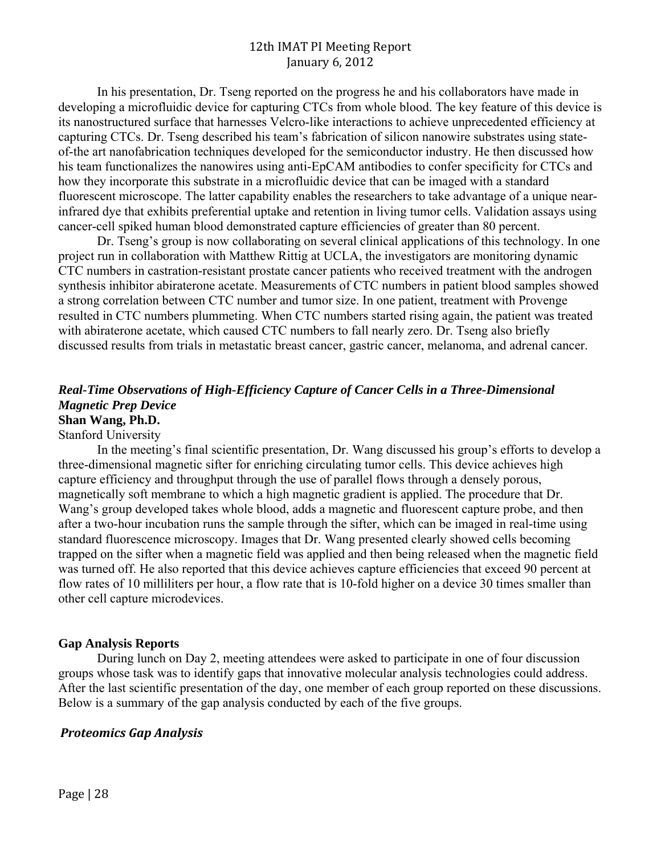In his presentation, Dr. Tseng reported on the progress he and his collaborators have made in developing a microfluidic device for capturing CTCs from whole blood. The key feature of this device is its nanostructured surface that harnesses Velcro-like interactions to achieve unprecedented efficiency at capturing CTCs. Dr. Tseng described his team's fabrication of silicon nanowire substrates using stateof-the art nanofabrication techniques developed for the semiconductor industry. He then discussed how his team functionalizes the nanowires using anti-EpCAM antibodies to confer specificity for CTCs and how they incorporate this substrate in a microfluidic device that can be imaged with a standard fluorescent microscope. The latter capability enables the researchers to take advantage of a unique nearinfrared dye that exhibits preferential uptake and retention in living tumor cells. Validation assays using cancer-cell spiked human blood demonstrated capture efficiencies of greater than 80 percent.

Dr. Tseng's group is now collaborating on several clinical applications of this technology. In one project run in collaboration with Matthew Rittig at UCLA, the investigators are monitoring dynamic CTC numbers in castration-resistant prostate cancer patients who received treatment with the androgen synthesis inhibitor abiraterone acetate. Measurements of CTC numbers in patient blood samples showed a strong correlation between CTC number and tumor size. In one patient, treatment with Provenge resulted in CTC numbers plummeting. When CTC numbers started rising again, the patient was treated with abiraterone acetate, which caused CTC numbers to fall nearly zero. Dr. Tseng also briefly discussed results from trials in metastatic breast cancer, gastric cancer, melanoma, and adrenal cancer.

## *Real-Time Observations of High-Efficiency Capture of Cancer Cells in a Three-Dimensional Magnetic Prep Device*  **Shan Wang, Ph.D.**

#### Stanford University

In the meeting's final scientific presentation, Dr. Wang discussed his group's efforts to develop a three-dimensional magnetic sifter for enriching circulating tumor cells. This device achieves high capture efficiency and throughput through the use of parallel flows through a densely porous, magnetically soft membrane to which a high magnetic gradient is applied. The procedure that Dr. Wang's group developed takes whole blood, adds a magnetic and fluorescent capture probe, and then after a two-hour incubation runs the sample through the sifter, which can be imaged in real-time using standard fluorescence microscopy. Images that Dr. Wang presented clearly showed cells becoming trapped on the sifter when a magnetic field was applied and then being released when the magnetic field was turned off. He also reported that this device achieves capture efficiencies that exceed 90 percent at flow rates of 10 milliliters per hour, a flow rate that is 10-fold higher on a device 30 times smaller than other cell capture microdevices.

#### **Gap Analysis Reports**

During lunch on Day 2, meeting attendees were asked to participate in one of four discussion groups whose task was to identify gaps that innovative molecular analysis technologies could address. After the last scientific presentation of the day, one member of each group reported on these discussions. Below is a summary of the gap analysis conducted by each of the five groups.

#### *Proteomics Gap Analysis*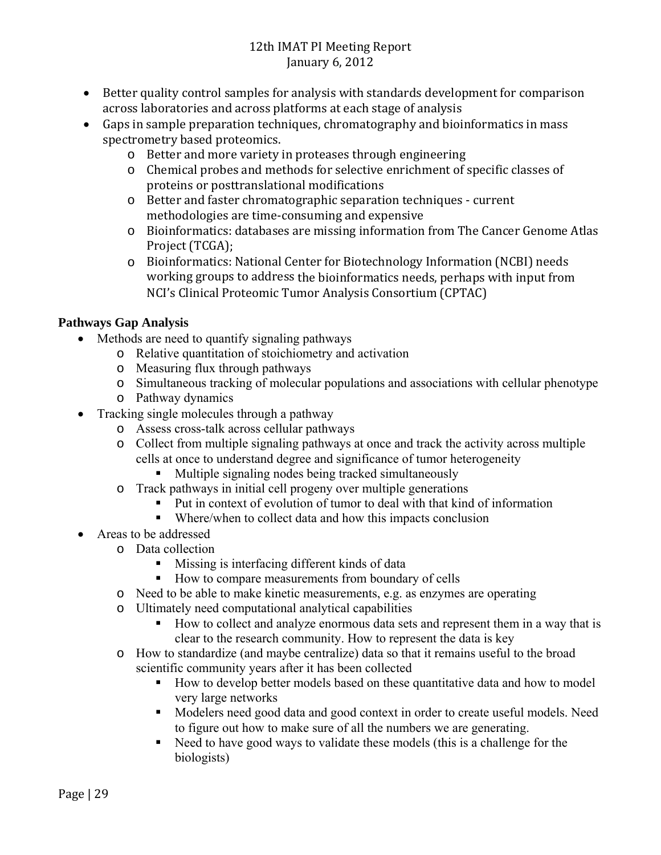- Better quality control samples for analysis with standards development for comparison across laboratories and across platforms at each stage of analysis
- Gaps in sample preparation techniques, chromatography and bioinformatics in mass spectrometry based proteomics.
	- o Better and more variety in proteases through engineering
	- o Chemical probes and methods for selective enrichment of specific classes of proteins or posttranslational modifications
	- o Better and faster chromatographic separation techniques current methodologies are time-consuming and expensive
	- o Bioinformatics: databases are missing information from The Cancer Genome Atlas Project (TCGA);
	- $\circ$  Bioinformatics: National Center for Biotechnology Information (NCBI) needs working groups to address the bioinformatics needs, perhaps with input from NCI's Clinical Proteomic Tumor Analysis Consortium (CPTAC)

# **Pathways Gap Analysis**

- Methods are need to quantify signaling pathways
	- o Relative quantitation of stoichiometry and activation
	- o Measuring flux through pathways
	- o Simultaneous tracking of molecular populations and associations with cellular phenotype
	- o Pathway dynamics
- Tracking single molecules through a pathway
	- o Assess cross-talk across cellular pathways
	- o Collect from multiple signaling pathways at once and track the activity across multiple cells at once to understand degree and significance of tumor heterogeneity
		- Multiple signaling nodes being tracked simultaneously
	- o Track pathways in initial cell progeny over multiple generations
		- Put in context of evolution of tumor to deal with that kind of information
		- Where/when to collect data and how this impacts conclusion
- Areas to be addressed
	- o Data collection
		- **Missing is interfacing different kinds of data**
		- How to compare measurements from boundary of cells
		- o Need to be able to make kinetic measurements, e.g. as enzymes are operating
		- o Ultimately need computational analytical capabilities
			- How to collect and analyze enormous data sets and represent them in a way that is clear to the research community. How to represent the data is key
		- o How to standardize (and maybe centralize) data so that it remains useful to the broad scientific community years after it has been collected
			- How to develop better models based on these quantitative data and how to model very large networks
			- Modelers need good data and good context in order to create useful models. Need to figure out how to make sure of all the numbers we are generating.
			- Need to have good ways to validate these models (this is a challenge for the biologists)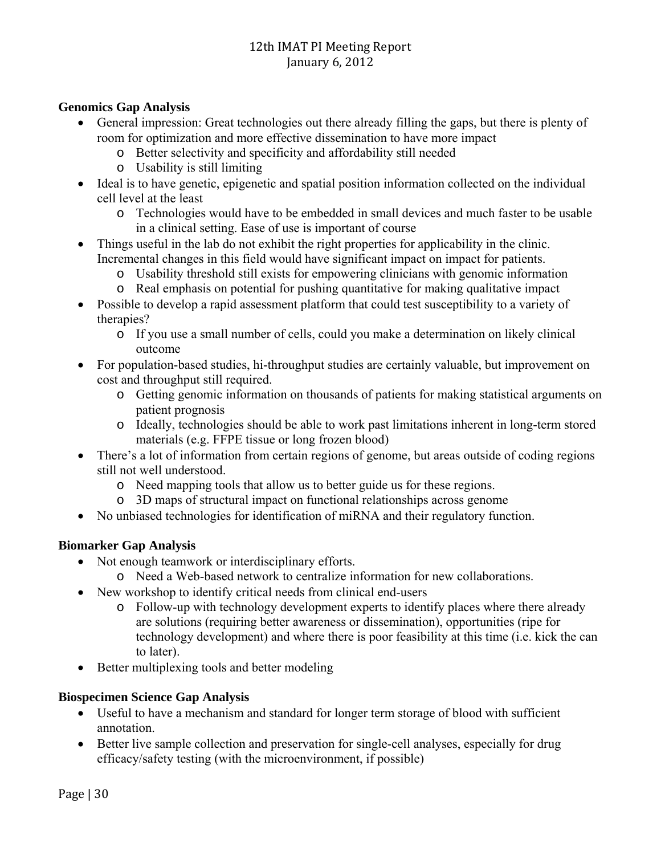## **Genomics Gap Analysis**

- General impression: Great technologies out there already filling the gaps, but there is plenty of room for optimization and more effective dissemination to have more impact
	- o Better selectivity and specificity and affordability still needed
	- o Usability is still limiting
- Ideal is to have genetic, epigenetic and spatial position information collected on the individual cell level at the least
	- o Technologies would have to be embedded in small devices and much faster to be usable in a clinical setting. Ease of use is important of course
- Things useful in the lab do not exhibit the right properties for applicability in the clinic. Incremental changes in this field would have significant impact on impact for patients.
	- o Usability threshold still exists for empowering clinicians with genomic information
	- o Real emphasis on potential for pushing quantitative for making qualitative impact
- Possible to develop a rapid assessment platform that could test susceptibility to a variety of therapies?
	- o If you use a small number of cells, could you make a determination on likely clinical outcome
- For population-based studies, hi-throughput studies are certainly valuable, but improvement on cost and throughput still required.
	- o Getting genomic information on thousands of patients for making statistical arguments on patient prognosis
	- o Ideally, technologies should be able to work past limitations inherent in long-term stored materials (e.g. FFPE tissue or long frozen blood)
- There's a lot of information from certain regions of genome, but areas outside of coding regions still not well understood.
	- o Need mapping tools that allow us to better guide us for these regions.
	- o 3D maps of structural impact on functional relationships across genome
- No unbiased technologies for identification of miRNA and their regulatory function.

## **Biomarker Gap Analysis**

- Not enough teamwork or interdisciplinary efforts.
	- o Need a Web-based network to centralize information for new collaborations.
- New workshop to identify critical needs from clinical end-users
	- o Follow-up with technology development experts to identify places where there already are solutions (requiring better awareness or dissemination), opportunities (ripe for technology development) and where there is poor feasibility at this time (i.e. kick the can to later).
- Better multiplexing tools and better modeling

## **Biospecimen Science Gap Analysis**

- Useful to have a mechanism and standard for longer term storage of blood with sufficient annotation.
- Better live sample collection and preservation for single-cell analyses, especially for drug efficacy/safety testing (with the microenvironment, if possible)